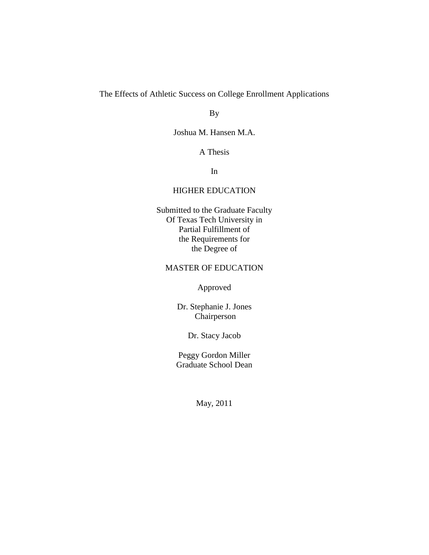The Effects of Athletic Success on College Enrollment Applications

By

Joshua M. Hansen M.A.

A Thesis

In

# HIGHER EDUCATION

Submitted to the Graduate Faculty Of Texas Tech University in Partial Fulfillment of the Requirements for the Degree of

# MASTER OF EDUCATION

Approved

Dr. Stephanie J. Jones Chairperson

Dr. Stacy Jacob

Peggy Gordon Miller Graduate School Dean

May, 2011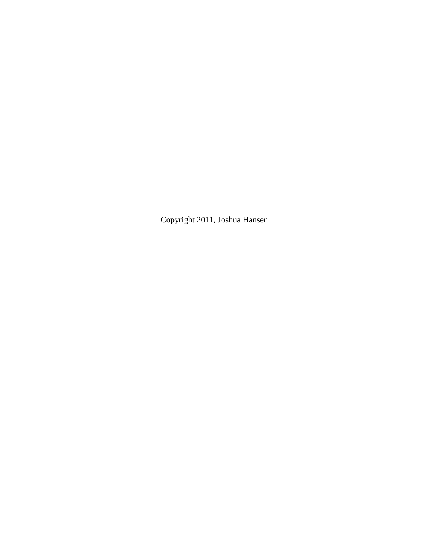Copyright 2011, Joshua Hansen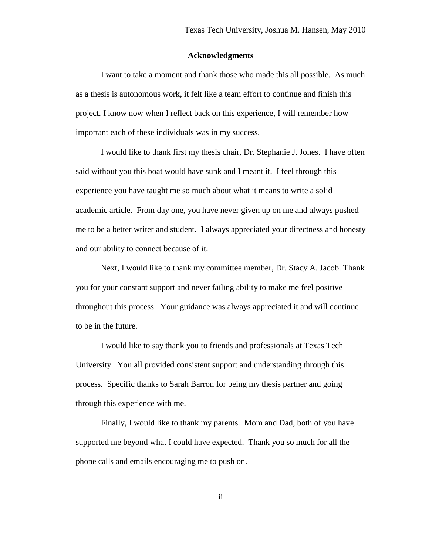### **Acknowledgments**

I want to take a moment and thank those who made this all possible. As much as a thesis is autonomous work, it felt like a team effort to continue and finish this project. I know now when I reflect back on this experience, I will remember how important each of these individuals was in my success.

I would like to thank first my thesis chair, Dr. Stephanie J. Jones. I have often said without you this boat would have sunk and I meant it. I feel through this experience you have taught me so much about what it means to write a solid academic article. From day one, you have never given up on me and always pushed me to be a better writer and student. I always appreciated your directness and honesty and our ability to connect because of it.

Next, I would like to thank my committee member, Dr. Stacy A. Jacob. Thank you for your constant support and never failing ability to make me feel positive throughout this process. Your guidance was always appreciated it and will continue to be in the future.

I would like to say thank you to friends and professionals at Texas Tech University. You all provided consistent support and understanding through this process. Specific thanks to Sarah Barron for being my thesis partner and going through this experience with me.

Finally, I would like to thank my parents. Mom and Dad, both of you have supported me beyond what I could have expected. Thank you so much for all the phone calls and emails encouraging me to push on.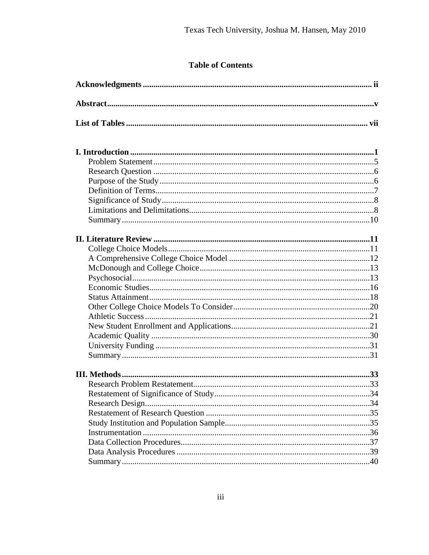# **Table of Contents**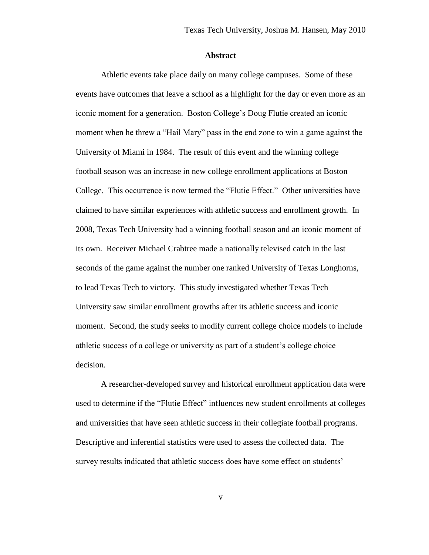#### **Abstract**

Athletic events take place daily on many college campuses. Some of these events have outcomes that leave a school as a highlight for the day or even more as an iconic moment for a generation. Boston College's Doug Flutie created an iconic moment when he threw a "Hail Mary" pass in the end zone to win a game against the University of Miami in 1984. The result of this event and the winning college football season was an increase in new college enrollment applications at Boston College. This occurrence is now termed the "Flutie Effect." Other universities have claimed to have similar experiences with athletic success and enrollment growth. In 2008, Texas Tech University had a winning football season and an iconic moment of its own. Receiver Michael Crabtree made a nationally televised catch in the last seconds of the game against the number one ranked University of Texas Longhorns, to lead Texas Tech to victory. This study investigated whether Texas Tech University saw similar enrollment growths after its athletic success and iconic moment. Second, the study seeks to modify current college choice models to include athletic success of a college or university as part of a student's college choice decision.

A researcher-developed survey and historical enrollment application data were used to determine if the "Flutie Effect" influences new student enrollments at colleges and universities that have seen athletic success in their collegiate football programs. Descriptive and inferential statistics were used to assess the collected data. The survey results indicated that athletic success does have some effect on students'

v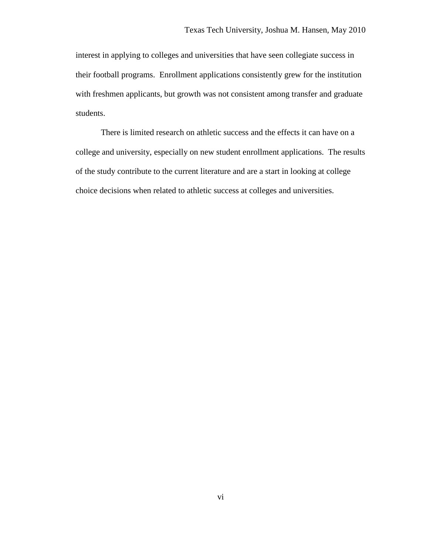interest in applying to colleges and universities that have seen collegiate success in their football programs. Enrollment applications consistently grew for the institution with freshmen applicants, but growth was not consistent among transfer and graduate students.

There is limited research on athletic success and the effects it can have on a college and university, especially on new student enrollment applications. The results of the study contribute to the current literature and are a start in looking at college choice decisions when related to athletic success at colleges and universities.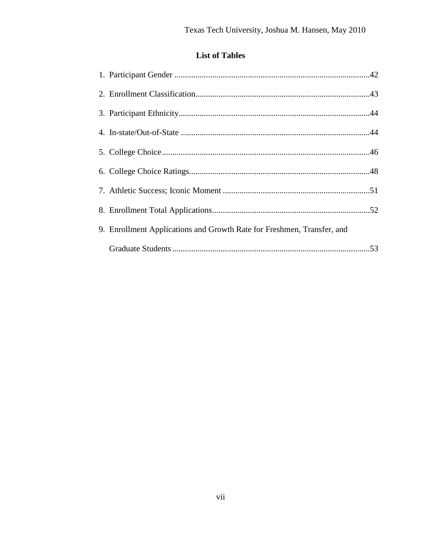# **List of Tables**

| 9. Enrollment Applications and Growth Rate for Freshmen, Transfer, and |  |
|------------------------------------------------------------------------|--|
|                                                                        |  |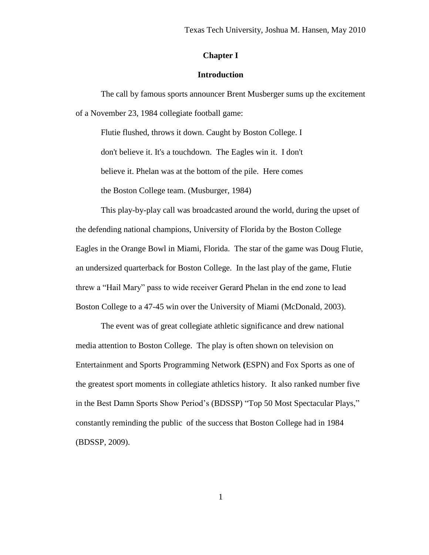# **Chapter I**

# **Introduction**

The call by famous sports announcer Brent Musberger sums up the excitement of a November 23, 1984 collegiate football game:

Flutie flushed, throws it down. Caught by Boston College. I don't believe it. It's a touchdown. The Eagles win it. I don't believe it. Phelan was at the bottom of the pile. Here comes the Boston College team. (Musburger, 1984)

This play-by-play call was broadcasted around the world, during the upset of the defending national champions, University of Florida by the Boston College Eagles in the Orange Bowl in Miami, Florida. The star of the game was Doug Flutie, an undersized quarterback for Boston College. In the last play of the game, Flutie threw a "Hail Mary" pass to wide receiver Gerard Phelan in the end zone to lead Boston College to a 47-45 win over the University of Miami (McDonald, 2003).

The event was of great collegiate athletic significance and drew national media attention to Boston College. The play is often shown on television on Entertainment and Sports Programming Network **(**ESPN) and Fox Sports as one of the greatest sport moments in collegiate athletics history. It also ranked number five in the Best Damn Sports Show Period's (BDSSP) "Top 50 Most Spectacular Plays," constantly reminding the public of the success that Boston College had in 1984 (BDSSP, 2009).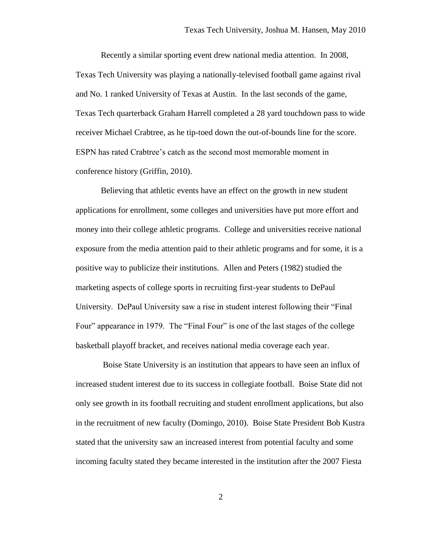Recently a similar sporting event drew national media attention. In 2008, Texas Tech University was playing a nationally-televised football game against rival and No. 1 ranked University of Texas at Austin. In the last seconds of the game, Texas Tech quarterback Graham Harrell completed a 28 yard touchdown pass to wide receiver Michael Crabtree, as he tip-toed down the out-of-bounds line for the score. ESPN has rated Crabtree's catch as the second most memorable moment in conference history (Griffin, 2010).

Believing that athletic events have an effect on the growth in new student applications for enrollment, some colleges and universities have put more effort and money into their college athletic programs. College and universities receive national exposure from the media attention paid to their athletic programs and for some, it is a positive way to publicize their institutions. Allen and Peters (1982) studied the marketing aspects of college sports in recruiting first-year students to DePaul University. DePaul University saw a rise in student interest following their "Final Four" appearance in 1979. The "Final Four" is one of the last stages of the college basketball playoff bracket, and receives national media coverage each year.

Boise State University is an institution that appears to have seen an influx of increased student interest due to its success in collegiate football. Boise State did not only see growth in its football recruiting and student enrollment applications, but also in the recruitment of new faculty (Domingo, 2010). Boise State President Bob Kustra stated that the university saw an increased interest from potential faculty and some incoming faculty stated they became interested in the institution after the 2007 Fiesta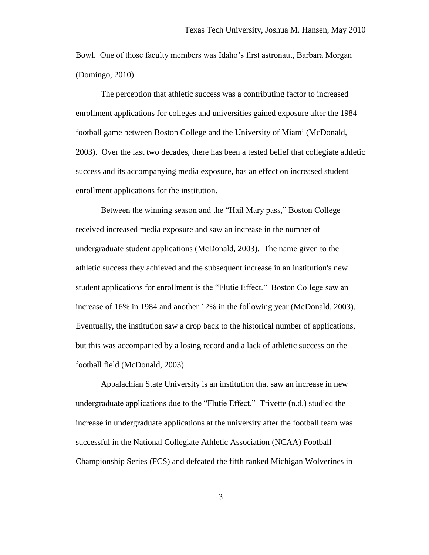Bowl. One of those faculty members was Idaho's first astronaut, Barbara Morgan (Domingo, 2010).

The perception that athletic success was a contributing factor to increased enrollment applications for colleges and universities gained exposure after the 1984 football game between Boston College and the University of Miami (McDonald, 2003). Over the last two decades, there has been a tested belief that collegiate athletic success and its accompanying media exposure, has an effect on increased student enrollment applications for the institution.

Between the winning season and the "Hail Mary pass," Boston College received increased media exposure and saw an increase in the number of undergraduate student applications (McDonald, 2003). The name given to the athletic success they achieved and the subsequent increase in an institution's new student applications for enrollment is the "Flutie Effect." Boston College saw an increase of 16% in 1984 and another 12% in the following year (McDonald, 2003). Eventually, the institution saw a drop back to the historical number of applications, but this was accompanied by a losing record and a lack of athletic success on the football field (McDonald, 2003).

Appalachian State University is an institution that saw an increase in new undergraduate applications due to the "Flutie Effect." Trivette (n.d.) studied the increase in undergraduate applications at the university after the football team was successful in the National Collegiate Athletic Association (NCAA) Football Championship Series (FCS) and defeated the fifth ranked Michigan Wolverines in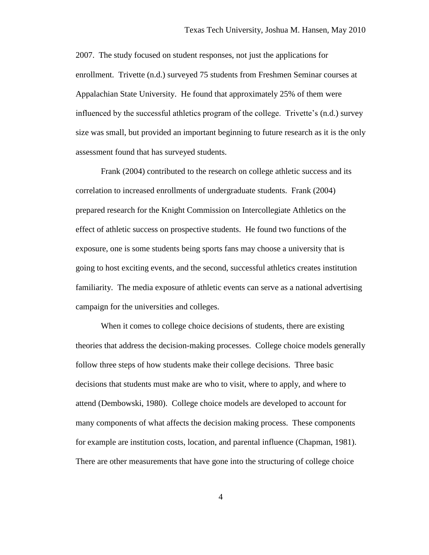2007. The study focused on student responses, not just the applications for enrollment. Trivette (n.d.) surveyed 75 students from Freshmen Seminar courses at Appalachian State University. He found that approximately 25% of them were influenced by the successful athletics program of the college. Trivette's (n.d.) survey size was small, but provided an important beginning to future research as it is the only assessment found that has surveyed students.

Frank (2004) contributed to the research on college athletic success and its correlation to increased enrollments of undergraduate students. Frank (2004) prepared research for the Knight Commission on Intercollegiate Athletics on the effect of athletic success on prospective students. He found two functions of the exposure, one is some students being sports fans may choose a university that is going to host exciting events, and the second, successful athletics creates institution familiarity. The media exposure of athletic events can serve as a national advertising campaign for the universities and colleges.

When it comes to college choice decisions of students, there are existing theories that address the decision-making processes. College choice models generally follow three steps of how students make their college decisions. Three basic decisions that students must make are who to visit, where to apply, and where to attend (Dembowski, 1980). College choice models are developed to account for many components of what affects the decision making process. These components for example are institution costs, location, and parental influence (Chapman, 1981). There are other measurements that have gone into the structuring of college choice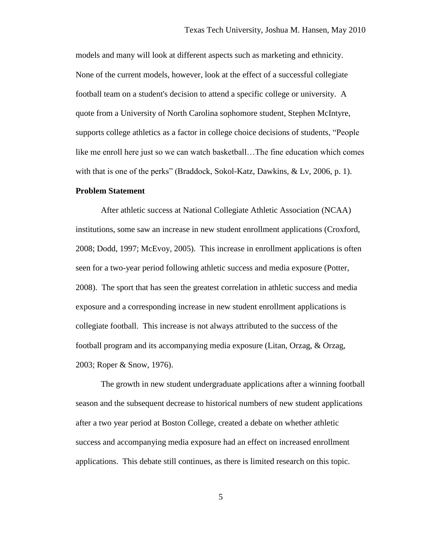models and many will look at different aspects such as marketing and ethnicity. None of the current models, however, look at the effect of a successful collegiate football team on a student's decision to attend a specific college or university. A quote from a University of North Carolina sophomore student, Stephen McIntyre, supports college athletics as a factor in college choice decisions of students, "People like me enroll here just so we can watch basketball…The fine education which comes with that is one of the perks" (Braddock, Sokol-Katz, Dawkins, & Lv, 2006, p. 1).

#### **Problem Statement**

After athletic success at National Collegiate Athletic Association (NCAA) institutions, some saw an increase in new student enrollment applications (Croxford, 2008; Dodd, 1997; McEvoy, 2005). This increase in enrollment applications is often seen for a two-year period following athletic success and media exposure (Potter, 2008). The sport that has seen the greatest correlation in athletic success and media exposure and a corresponding increase in new student enrollment applications is collegiate football. This increase is not always attributed to the success of the football program and its accompanying media exposure (Litan, Orzag, & Orzag, 2003; Roper & Snow, 1976).

The growth in new student undergraduate applications after a winning football season and the subsequent decrease to historical numbers of new student applications after a two year period at Boston College, created a debate on whether athletic success and accompanying media exposure had an effect on increased enrollment applications. This debate still continues, as there is limited research on this topic.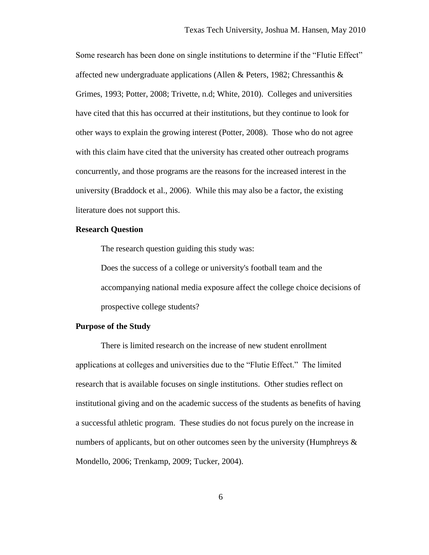Some research has been done on single institutions to determine if the "Flutie Effect" affected new undergraduate applications (Allen & Peters, 1982; Chressanthis & Grimes, 1993; Potter, 2008; Trivette, n.d; White, 2010). Colleges and universities have cited that this has occurred at their institutions, but they continue to look for other ways to explain the growing interest (Potter, 2008). Those who do not agree with this claim have cited that the university has created other outreach programs concurrently, and those programs are the reasons for the increased interest in the university (Braddock et al., 2006). While this may also be a factor, the existing literature does not support this.

# **Research Question**

The research question guiding this study was:

Does the success of a college or university's football team and the accompanying national media exposure affect the college choice decisions of prospective college students?

# **Purpose of the Study**

There is limited research on the increase of new student enrollment applications at colleges and universities due to the "Flutie Effect." The limited research that is available focuses on single institutions. Other studies reflect on institutional giving and on the academic success of the students as benefits of having a successful athletic program. These studies do not focus purely on the increase in numbers of applicants, but on other outcomes seen by the university (Humphreys  $\&$ Mondello, 2006; Trenkamp, 2009; Tucker, 2004).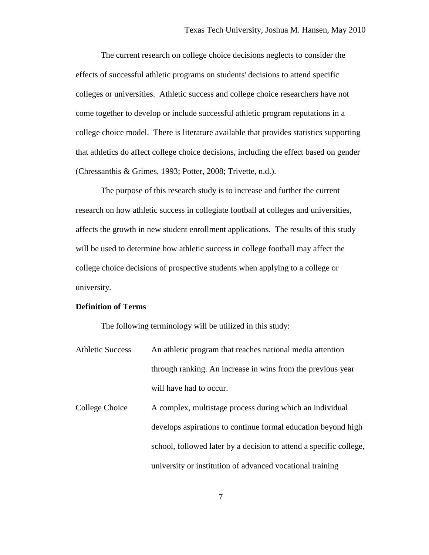The current research on college choice decisions neglects to consider the effects of successful athletic programs on students' decisions to attend specific colleges or universities. Athletic success and college choice researchers have not come together to develop or include successful athletic program reputations in a college choice model. There is literature available that provides statistics supporting that athletics do affect college choice decisions, including the effect based on gender (Chressanthis & Grimes, 1993; Potter, 2008; Trivette, n.d.).

The purpose of this research study is to increase and further the current research on how athletic success in collegiate football at colleges and universities, affects the growth in new student enrollment applications. The results of this study will be used to determine how athletic success in college football may affect the college choice decisions of prospective students when applying to a college or university.

# **Definition of Terms**

The following terminology will be utilized in this study:

- Athletic Success An athletic program that reaches national media attention through ranking. An increase in wins from the previous year will have had to occur.
- College Choice A complex, multistage process during which an individual develops aspirations to continue formal education beyond high school, followed later by a decision to attend a specific college, university or institution of advanced vocational training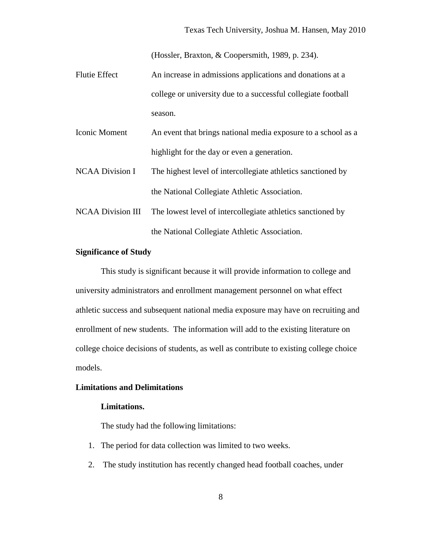(Hossler, Braxton, & Coopersmith, 1989, p. 234).

- Flutie Effect An increase in admissions applications and donations at a college or university due to a successful collegiate football season.
- Iconic Moment An event that brings national media exposure to a school as a highlight for the day or even a generation.
- NCAA Division I The highest level of intercollegiate athletics sanctioned by the National Collegiate Athletic Association.
- NCAA Division III The lowest level of intercollegiate athletics sanctioned by the National Collegiate Athletic Association.

# **Significance of Study**

This study is significant because it will provide information to college and university administrators and enrollment management personnel on what effect athletic success and subsequent national media exposure may have on recruiting and enrollment of new students. The information will add to the existing literature on college choice decisions of students, as well as contribute to existing college choice models.

## **Limitations and Delimitations**

## **Limitations.**

The study had the following limitations:

- 1. The period for data collection was limited to two weeks.
- 2. The study institution has recently changed head football coaches, under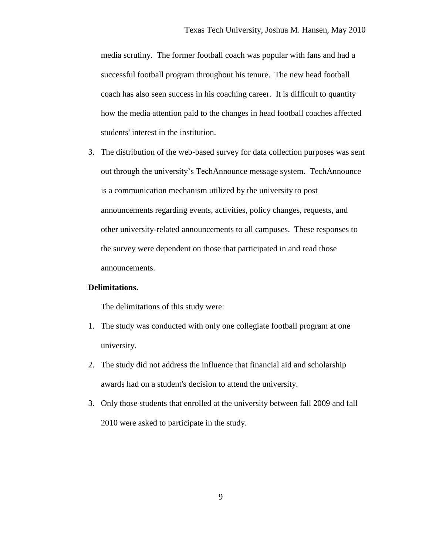media scrutiny. The former football coach was popular with fans and had a successful football program throughout his tenure. The new head football coach has also seen success in his coaching career. It is difficult to quantity how the media attention paid to the changes in head football coaches affected students' interest in the institution.

3. The distribution of the web-based survey for data collection purposes was sent out through the university's TechAnnounce message system. TechAnnounce is a communication mechanism utilized by the university to post announcements regarding events, activities, policy changes, requests, and other university-related announcements to all campuses. These responses to the survey were dependent on those that participated in and read those announcements.

# **Delimitations.**

The delimitations of this study were:

- 1. The study was conducted with only one collegiate football program at one university.
- 2. The study did not address the influence that financial aid and scholarship awards had on a student's decision to attend the university.
- 3. Only those students that enrolled at the university between fall 2009 and fall 2010 were asked to participate in the study.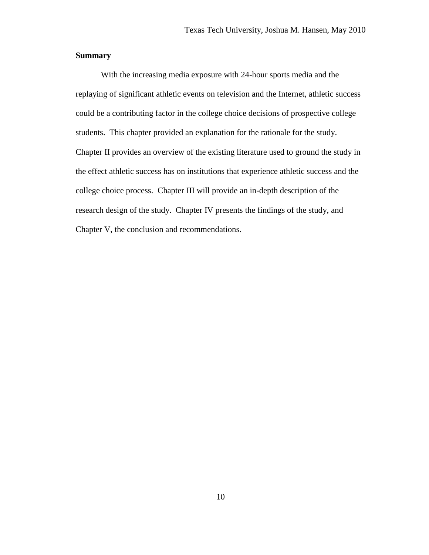# **Summary**

With the increasing media exposure with 24-hour sports media and the replaying of significant athletic events on television and the Internet, athletic success could be a contributing factor in the college choice decisions of prospective college students. This chapter provided an explanation for the rationale for the study. Chapter II provides an overview of the existing literature used to ground the study in the effect athletic success has on institutions that experience athletic success and the college choice process. Chapter III will provide an in-depth description of the research design of the study. Chapter IV presents the findings of the study, and Chapter V, the conclusion and recommendations.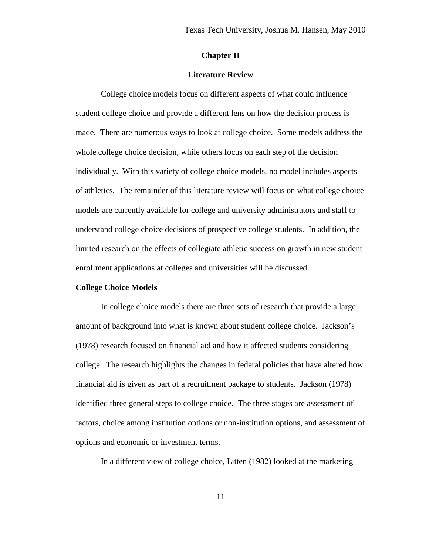# **Chapter II**

### **Literature Review**

College choice models focus on different aspects of what could influence student college choice and provide a different lens on how the decision process is made. There are numerous ways to look at college choice. Some models address the whole college choice decision, while others focus on each step of the decision individually. With this variety of college choice models, no model includes aspects of athletics. The remainder of this literature review will focus on what college choice models are currently available for college and university administrators and staff to understand college choice decisions of prospective college students. In addition, the limited research on the effects of collegiate athletic success on growth in new student enrollment applications at colleges and universities will be discussed.

#### **College Choice Models**

In college choice models there are three sets of research that provide a large amount of background into what is known about student college choice. Jackson's (1978) research focused on financial aid and how it affected students considering college. The research highlights the changes in federal policies that have altered how financial aid is given as part of a recruitment package to students. Jackson (1978) identified three general steps to college choice. The three stages are assessment of factors, choice among institution options or non-institution options, and assessment of options and economic or investment terms.

In a different view of college choice, Litten (1982) looked at the marketing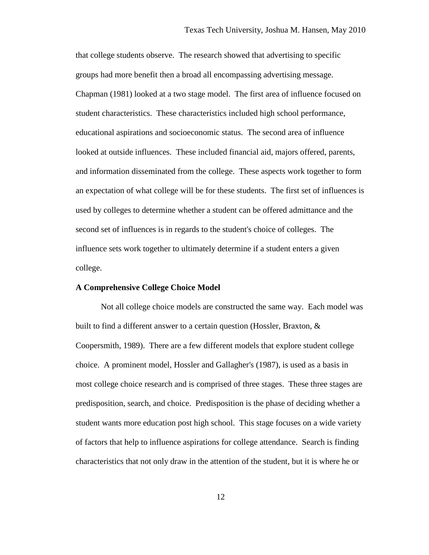that college students observe. The research showed that advertising to specific groups had more benefit then a broad all encompassing advertising message. Chapman (1981) looked at a two stage model. The first area of influence focused on student characteristics. These characteristics included high school performance, educational aspirations and socioeconomic status. The second area of influence looked at outside influences. These included financial aid, majors offered, parents, and information disseminated from the college. These aspects work together to form an expectation of what college will be for these students. The first set of influences is used by colleges to determine whether a student can be offered admittance and the second set of influences is in regards to the student's choice of colleges. The influence sets work together to ultimately determine if a student enters a given college.

#### **A Comprehensive College Choice Model**

Not all college choice models are constructed the same way. Each model was built to find a different answer to a certain question (Hossler, Braxton, & Coopersmith, 1989). There are a few different models that explore student college choice. A prominent model, Hossler and Gallagher's (1987), is used as a basis in most college choice research and is comprised of three stages. These three stages are predisposition, search, and choice. Predisposition is the phase of deciding whether a student wants more education post high school. This stage focuses on a wide variety of factors that help to influence aspirations for college attendance. Search is finding characteristics that not only draw in the attention of the student, but it is where he or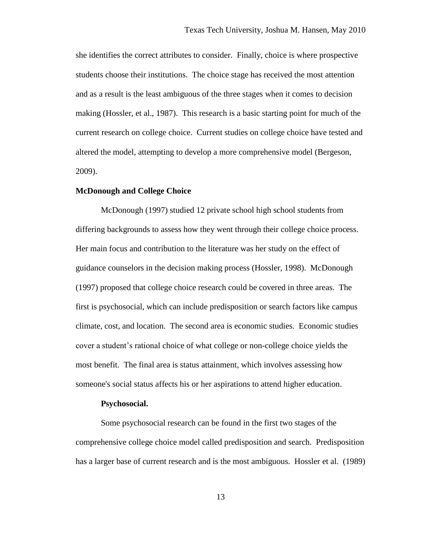she identifies the correct attributes to consider. Finally, choice is where prospective students choose their institutions. The choice stage has received the most attention and as a result is the least ambiguous of the three stages when it comes to decision making (Hossler, et al., 1987). This research is a basic starting point for much of the current research on college choice. Current studies on college choice have tested and altered the model, attempting to develop a more comprehensive model (Bergeson, 2009).

# **McDonough and College Choice**

McDonough (1997) studied 12 private school high school students from differing backgrounds to assess how they went through their college choice process. Her main focus and contribution to the literature was her study on the effect of guidance counselors in the decision making process (Hossler, 1998). McDonough (1997) proposed that college choice research could be covered in three areas. The first is psychosocial, which can include predisposition or search factors like campus climate, cost, and location. The second area is economic studies. Economic studies cover a student's rational choice of what college or non-college choice yields the most benefit. The final area is status attainment, which involves assessing how someone's social status affects his or her aspirations to attend higher education.

#### **Psychosocial.**

Some psychosocial research can be found in the first two stages of the comprehensive college choice model called predisposition and search. Predisposition has a larger base of current research and is the most ambiguous. Hossler et al. (1989)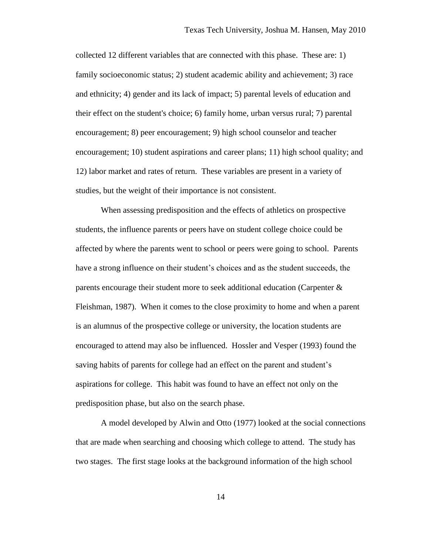collected 12 different variables that are connected with this phase. These are: 1) family socioeconomic status; 2) student academic ability and achievement; 3) race and ethnicity; 4) gender and its lack of impact; 5) parental levels of education and their effect on the student's choice; 6) family home, urban versus rural; 7) parental encouragement; 8) peer encouragement; 9) high school counselor and teacher encouragement; 10) student aspirations and career plans; 11) high school quality; and 12) labor market and rates of return. These variables are present in a variety of studies, but the weight of their importance is not consistent.

When assessing predisposition and the effects of athletics on prospective students, the influence parents or peers have on student college choice could be affected by where the parents went to school or peers were going to school. Parents have a strong influence on their student's choices and as the student succeeds, the parents encourage their student more to seek additional education (Carpenter & Fleishman, 1987). When it comes to the close proximity to home and when a parent is an alumnus of the prospective college or university, the location students are encouraged to attend may also be influenced. Hossler and Vesper (1993) found the saving habits of parents for college had an effect on the parent and student's aspirations for college. This habit was found to have an effect not only on the predisposition phase, but also on the search phase.

A model developed by Alwin and Otto (1977) looked at the social connections that are made when searching and choosing which college to attend. The study has two stages. The first stage looks at the background information of the high school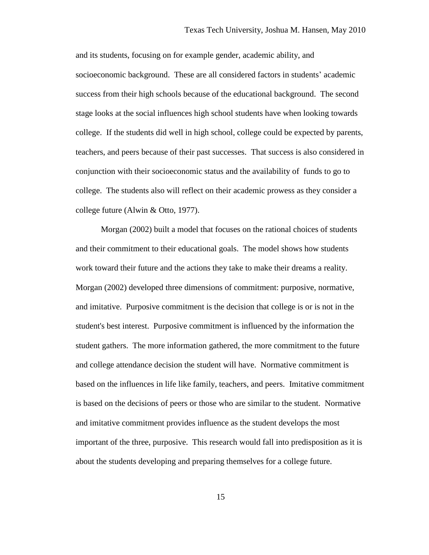and its students, focusing on for example gender, academic ability, and socioeconomic background. These are all considered factors in students' academic success from their high schools because of the educational background. The second stage looks at the social influences high school students have when looking towards college. If the students did well in high school, college could be expected by parents, teachers, and peers because of their past successes. That success is also considered in conjunction with their socioeconomic status and the availability of funds to go to college. The students also will reflect on their academic prowess as they consider a college future (Alwin & Otto, 1977).

Morgan (2002) built a model that focuses on the rational choices of students and their commitment to their educational goals. The model shows how students work toward their future and the actions they take to make their dreams a reality. Morgan (2002) developed three dimensions of commitment: purposive, normative, and imitative. Purposive commitment is the decision that college is or is not in the student's best interest. Purposive commitment is influenced by the information the student gathers. The more information gathered, the more commitment to the future and college attendance decision the student will have. Normative commitment is based on the influences in life like family, teachers, and peers. Imitative commitment is based on the decisions of peers or those who are similar to the student. Normative and imitative commitment provides influence as the student develops the most important of the three, purposive. This research would fall into predisposition as it is about the students developing and preparing themselves for a college future.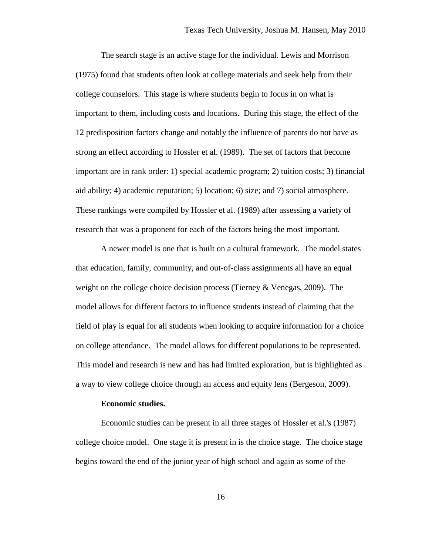The search stage is an active stage for the individual. Lewis and Morrison (1975) found that students often look at college materials and seek help from their college counselors. This stage is where students begin to focus in on what is important to them, including costs and locations. During this stage, the effect of the 12 predisposition factors change and notably the influence of parents do not have as strong an effect according to Hossler et al. (1989). The set of factors that become important are in rank order: 1) special academic program; 2) tuition costs; 3) financial aid ability; 4) academic reputation; 5) location; 6) size; and 7) social atmosphere. These rankings were compiled by Hossler et al. (1989) after assessing a variety of research that was a proponent for each of the factors being the most important.

A newer model is one that is built on a cultural framework. The model states that education, family, community, and out-of-class assignments all have an equal weight on the college choice decision process (Tierney & Venegas, 2009). The model allows for different factors to influence students instead of claiming that the field of play is equal for all students when looking to acquire information for a choice on college attendance. The model allows for different populations to be represented. This model and research is new and has had limited exploration, but is highlighted as a way to view college choice through an access and equity lens (Bergeson, 2009).

#### **Economic studies.**

Economic studies can be present in all three stages of Hossler et al.'s (1987) college choice model. One stage it is present in is the choice stage. The choice stage begins toward the end of the junior year of high school and again as some of the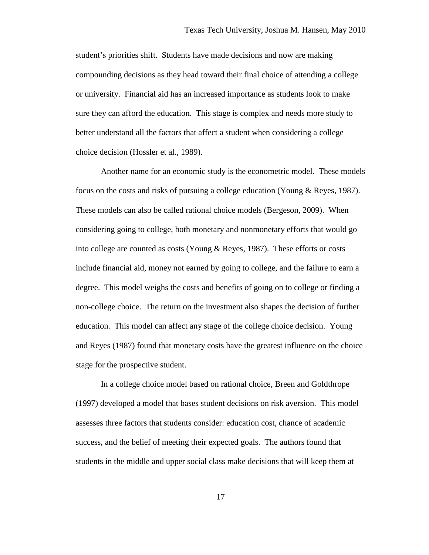student's priorities shift. Students have made decisions and now are making compounding decisions as they head toward their final choice of attending a college or university. Financial aid has an increased importance as students look to make sure they can afford the education. This stage is complex and needs more study to better understand all the factors that affect a student when considering a college choice decision (Hossler et al., 1989).

Another name for an economic study is the econometric model. These models focus on the costs and risks of pursuing a college education (Young & Reyes, 1987). These models can also be called rational choice models (Bergeson, 2009). When considering going to college, both monetary and nonmonetary efforts that would go into college are counted as costs (Young & Reyes, 1987). These efforts or costs include financial aid, money not earned by going to college, and the failure to earn a degree. This model weighs the costs and benefits of going on to college or finding a non-college choice. The return on the investment also shapes the decision of further education. This model can affect any stage of the college choice decision. Young and Reyes (1987) found that monetary costs have the greatest influence on the choice stage for the prospective student.

In a college choice model based on rational choice, Breen and Goldthrope (1997) developed a model that bases student decisions on risk aversion. This model assesses three factors that students consider: education cost, chance of academic success, and the belief of meeting their expected goals. The authors found that students in the middle and upper social class make decisions that will keep them at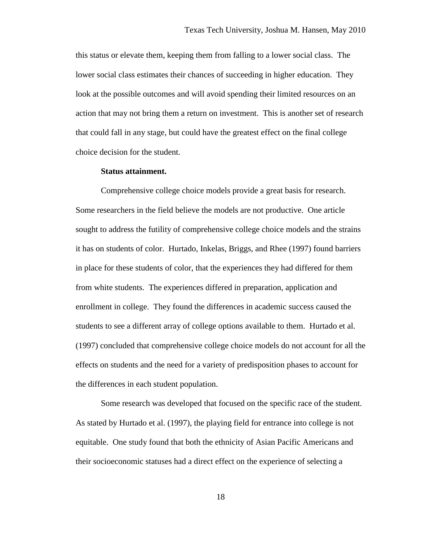this status or elevate them, keeping them from falling to a lower social class. The lower social class estimates their chances of succeeding in higher education. They look at the possible outcomes and will avoid spending their limited resources on an action that may not bring them a return on investment. This is another set of research that could fall in any stage, but could have the greatest effect on the final college choice decision for the student.

### **Status attainment.**

Comprehensive college choice models provide a great basis for research. Some researchers in the field believe the models are not productive. One article sought to address the futility of comprehensive college choice models and the strains it has on students of color. Hurtado, Inkelas, Briggs, and Rhee (1997) found barriers in place for these students of color, that the experiences they had differed for them from white students. The experiences differed in preparation, application and enrollment in college. They found the differences in academic success caused the students to see a different array of college options available to them. Hurtado et al. (1997) concluded that comprehensive college choice models do not account for all the effects on students and the need for a variety of predisposition phases to account for the differences in each student population.

Some research was developed that focused on the specific race of the student. As stated by Hurtado et al. (1997), the playing field for entrance into college is not equitable. One study found that both the ethnicity of Asian Pacific Americans and their socioeconomic statuses had a direct effect on the experience of selecting a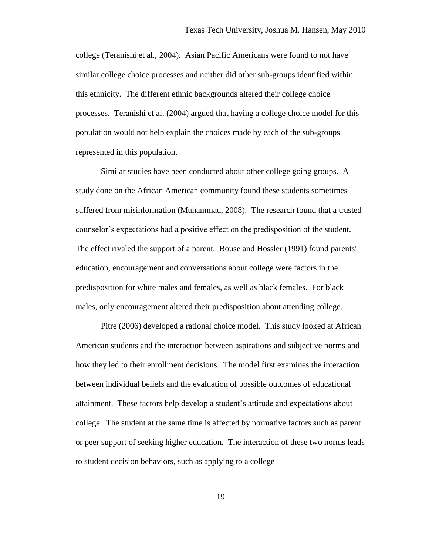college (Teranishi et al., 2004). Asian Pacific Americans were found to not have similar college choice processes and neither did other sub-groups identified within this ethnicity. The different ethnic backgrounds altered their college choice processes. Teranishi et al. (2004) argued that having a college choice model for this population would not help explain the choices made by each of the sub-groups represented in this population.

Similar studies have been conducted about other college going groups. A study done on the African American community found these students sometimes suffered from misinformation (Muhammad, 2008). The research found that a trusted counselor's expectations had a positive effect on the predisposition of the student. The effect rivaled the support of a parent. Bouse and Hossler (1991) found parents' education, encouragement and conversations about college were factors in the predisposition for white males and females, as well as black females. For black males, only encouragement altered their predisposition about attending college.

Pitre (2006) developed a rational choice model. This study looked at African American students and the interaction between aspirations and subjective norms and how they led to their enrollment decisions. The model first examines the interaction between individual beliefs and the evaluation of possible outcomes of educational attainment. These factors help develop a student's attitude and expectations about college. The student at the same time is affected by normative factors such as parent or peer support of seeking higher education. The interaction of these two norms leads to student decision behaviors, such as applying to a college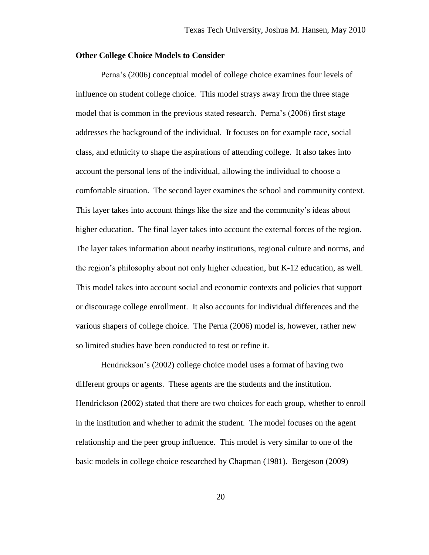### **Other College Choice Models to Consider**

Perna's (2006) conceptual model of college choice examines four levels of influence on student college choice. This model strays away from the three stage model that is common in the previous stated research. Perna's (2006) first stage addresses the background of the individual. It focuses on for example race, social class, and ethnicity to shape the aspirations of attending college. It also takes into account the personal lens of the individual, allowing the individual to choose a comfortable situation. The second layer examines the school and community context. This layer takes into account things like the size and the community's ideas about higher education. The final layer takes into account the external forces of the region. The layer takes information about nearby institutions, regional culture and norms, and the region's philosophy about not only higher education, but K-12 education, as well. This model takes into account social and economic contexts and policies that support or discourage college enrollment. It also accounts for individual differences and the various shapers of college choice. The Perna (2006) model is, however, rather new so limited studies have been conducted to test or refine it.

Hendrickson's (2002) college choice model uses a format of having two different groups or agents. These agents are the students and the institution. Hendrickson (2002) stated that there are two choices for each group, whether to enroll in the institution and whether to admit the student. The model focuses on the agent relationship and the peer group influence. This model is very similar to one of the basic models in college choice researched by Chapman (1981). Bergeson (2009)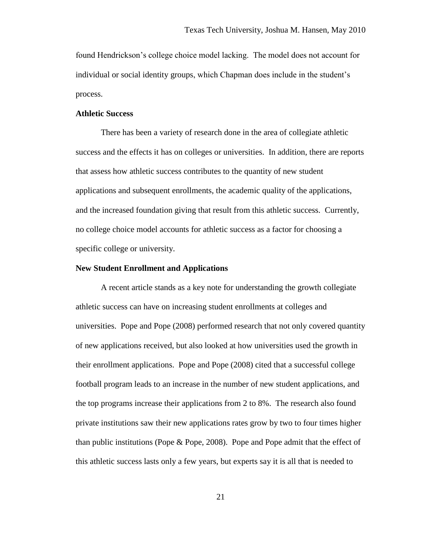found Hendrickson's college choice model lacking. The model does not account for individual or social identity groups, which Chapman does include in the student's process.

# **Athletic Success**

There has been a variety of research done in the area of collegiate athletic success and the effects it has on colleges or universities. In addition, there are reports that assess how athletic success contributes to the quantity of new student applications and subsequent enrollments, the academic quality of the applications, and the increased foundation giving that result from this athletic success. Currently, no college choice model accounts for athletic success as a factor for choosing a specific college or university.

### **New Student Enrollment and Applications**

A recent article stands as a key note for understanding the growth collegiate athletic success can have on increasing student enrollments at colleges and universities. Pope and Pope (2008) performed research that not only covered quantity of new applications received, but also looked at how universities used the growth in their enrollment applications. Pope and Pope (2008) cited that a successful college football program leads to an increase in the number of new student applications, and the top programs increase their applications from 2 to 8%. The research also found private institutions saw their new applications rates grow by two to four times higher than public institutions (Pope & Pope, 2008). Pope and Pope admit that the effect of this athletic success lasts only a few years, but experts say it is all that is needed to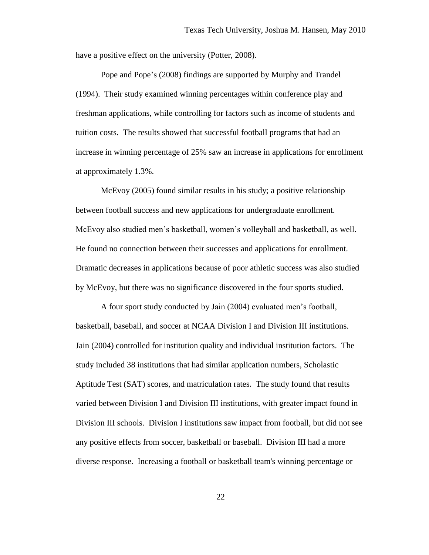have a positive effect on the university (Potter, 2008).

Pope and Pope's (2008) findings are supported by Murphy and Trandel (1994). Their study examined winning percentages within conference play and freshman applications, while controlling for factors such as income of students and tuition costs. The results showed that successful football programs that had an increase in winning percentage of 25% saw an increase in applications for enrollment at approximately 1.3%.

McEvoy (2005) found similar results in his study; a positive relationship between football success and new applications for undergraduate enrollment. McEvoy also studied men's basketball, women's volleyball and basketball, as well. He found no connection between their successes and applications for enrollment. Dramatic decreases in applications because of poor athletic success was also studied by McEvoy, but there was no significance discovered in the four sports studied.

A four sport study conducted by Jain (2004) evaluated men's football, basketball, baseball, and soccer at NCAA Division I and Division III institutions. Jain (2004) controlled for institution quality and individual institution factors. The study included 38 institutions that had similar application numbers, Scholastic Aptitude Test (SAT) scores, and matriculation rates. The study found that results varied between Division I and Division III institutions, with greater impact found in Division III schools. Division I institutions saw impact from football, but did not see any positive effects from soccer, basketball or baseball. Division III had a more diverse response. Increasing a football or basketball team's winning percentage or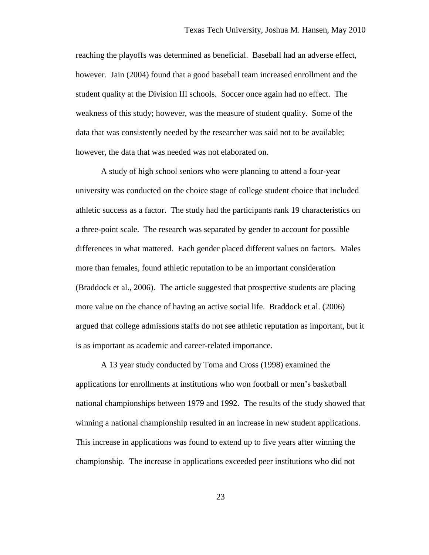reaching the playoffs was determined as beneficial. Baseball had an adverse effect, however. Jain (2004) found that a good baseball team increased enrollment and the student quality at the Division III schools. Soccer once again had no effect. The weakness of this study; however, was the measure of student quality. Some of the data that was consistently needed by the researcher was said not to be available; however, the data that was needed was not elaborated on.

A study of high school seniors who were planning to attend a four-year university was conducted on the choice stage of college student choice that included athletic success as a factor. The study had the participants rank 19 characteristics on a three-point scale. The research was separated by gender to account for possible differences in what mattered. Each gender placed different values on factors. Males more than females, found athletic reputation to be an important consideration (Braddock et al., 2006). The article suggested that prospective students are placing more value on the chance of having an active social life. Braddock et al. (2006) argued that college admissions staffs do not see athletic reputation as important, but it is as important as academic and career-related importance.

A 13 year study conducted by Toma and Cross (1998) examined the applications for enrollments at institutions who won football or men's basketball national championships between 1979 and 1992. The results of the study showed that winning a national championship resulted in an increase in new student applications. This increase in applications was found to extend up to five years after winning the championship. The increase in applications exceeded peer institutions who did not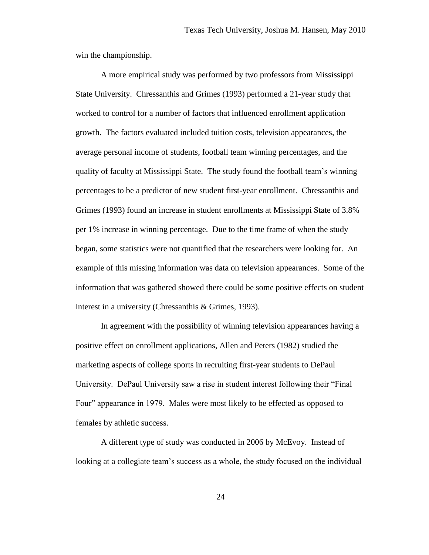win the championship.

A more empirical study was performed by two professors from Mississippi State University. Chressanthis and Grimes (1993) performed a 21-year study that worked to control for a number of factors that influenced enrollment application growth. The factors evaluated included tuition costs, television appearances, the average personal income of students, football team winning percentages, and the quality of faculty at Mississippi State. The study found the football team's winning percentages to be a predictor of new student first-year enrollment. Chressanthis and Grimes (1993) found an increase in student enrollments at Mississippi State of 3.8% per 1% increase in winning percentage. Due to the time frame of when the study began, some statistics were not quantified that the researchers were looking for. An example of this missing information was data on television appearances. Some of the information that was gathered showed there could be some positive effects on student interest in a university (Chressanthis & Grimes, 1993).

In agreement with the possibility of winning television appearances having a positive effect on enrollment applications, Allen and Peters (1982) studied the marketing aspects of college sports in recruiting first-year students to DePaul University. DePaul University saw a rise in student interest following their "Final Four" appearance in 1979. Males were most likely to be effected as opposed to females by athletic success.

A different type of study was conducted in 2006 by McEvoy. Instead of looking at a collegiate team's success as a whole, the study focused on the individual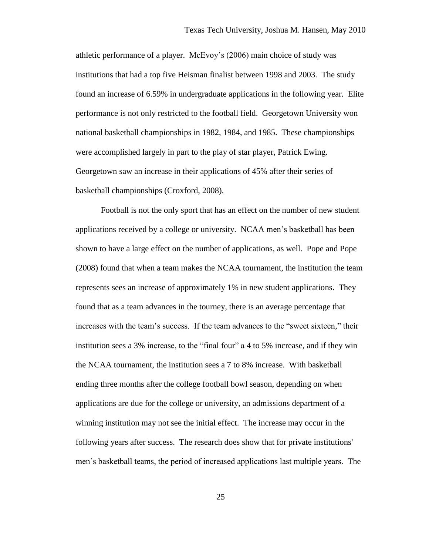athletic performance of a player. McEvoy's (2006) main choice of study was institutions that had a top five Heisman finalist between 1998 and 2003. The study found an increase of 6.59% in undergraduate applications in the following year. Elite performance is not only restricted to the football field. Georgetown University won national basketball championships in 1982, 1984, and 1985. These championships were accomplished largely in part to the play of star player, Patrick Ewing. Georgetown saw an increase in their applications of 45% after their series of basketball championships (Croxford, 2008).

Football is not the only sport that has an effect on the number of new student applications received by a college or university. NCAA men's basketball has been shown to have a large effect on the number of applications, as well. Pope and Pope (2008) found that when a team makes the NCAA tournament, the institution the team represents sees an increase of approximately 1% in new student applications. They found that as a team advances in the tourney, there is an average percentage that increases with the team's success. If the team advances to the "sweet sixteen," their institution sees a 3% increase, to the "final four" a 4 to 5% increase, and if they win the NCAA tournament, the institution sees a 7 to 8% increase. With basketball ending three months after the college football bowl season, depending on when applications are due for the college or university, an admissions department of a winning institution may not see the initial effect. The increase may occur in the following years after success. The research does show that for private institutions' men's basketball teams, the period of increased applications last multiple years. The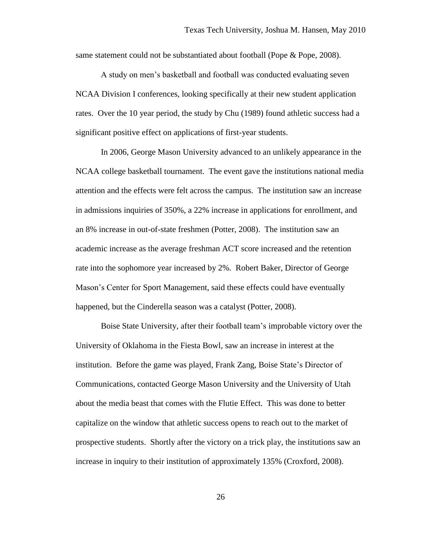same statement could not be substantiated about football (Pope & Pope, 2008).

A study on men's basketball and football was conducted evaluating seven NCAA Division I conferences, looking specifically at their new student application rates. Over the 10 year period, the study by Chu (1989) found athletic success had a significant positive effect on applications of first-year students.

In 2006, George Mason University advanced to an unlikely appearance in the NCAA college basketball tournament. The event gave the institutions national media attention and the effects were felt across the campus. The institution saw an increase in admissions inquiries of 350%, a 22% increase in applications for enrollment, and an 8% increase in out-of-state freshmen (Potter, 2008). The institution saw an academic increase as the average freshman ACT score increased and the retention rate into the sophomore year increased by 2%. Robert Baker, Director of George Mason's Center for Sport Management, said these effects could have eventually happened, but the Cinderella season was a catalyst (Potter, 2008).

Boise State University, after their football team's improbable victory over the University of Oklahoma in the Fiesta Bowl, saw an increase in interest at the institution. Before the game was played, Frank Zang, Boise State's Director of Communications, contacted George Mason University and the University of Utah about the media beast that comes with the Flutie Effect. This was done to better capitalize on the window that athletic success opens to reach out to the market of prospective students. Shortly after the victory on a trick play, the institutions saw an increase in inquiry to their institution of approximately 135% (Croxford, 2008).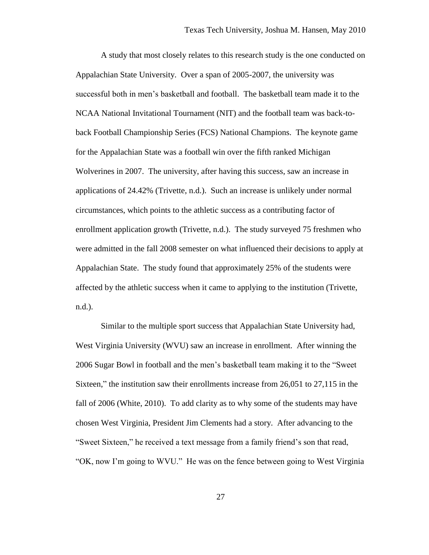A study that most closely relates to this research study is the one conducted on Appalachian State University. Over a span of 2005-2007, the university was successful both in men's basketball and football. The basketball team made it to the NCAA National Invitational Tournament (NIT) and the football team was back-toback Football Championship Series (FCS) National Champions. The keynote game for the Appalachian State was a football win over the fifth ranked Michigan Wolverines in 2007. The university, after having this success, saw an increase in applications of 24.42% (Trivette, n.d.). Such an increase is unlikely under normal circumstances, which points to the athletic success as a contributing factor of enrollment application growth (Trivette, n.d.). The study surveyed 75 freshmen who were admitted in the fall 2008 semester on what influenced their decisions to apply at Appalachian State. The study found that approximately 25% of the students were affected by the athletic success when it came to applying to the institution (Trivette, n.d.).

Similar to the multiple sport success that Appalachian State University had, West Virginia University (WVU) saw an increase in enrollment. After winning the 2006 Sugar Bowl in football and the men's basketball team making it to the "Sweet Sixteen," the institution saw their enrollments increase from 26,051 to 27,115 in the fall of 2006 (White, 2010). To add clarity as to why some of the students may have chosen West Virginia, President Jim Clements had a story. After advancing to the "Sweet Sixteen," he received a text message from a family friend's son that read, "OK, now I'm going to WVU." He was on the fence between going to West Virginia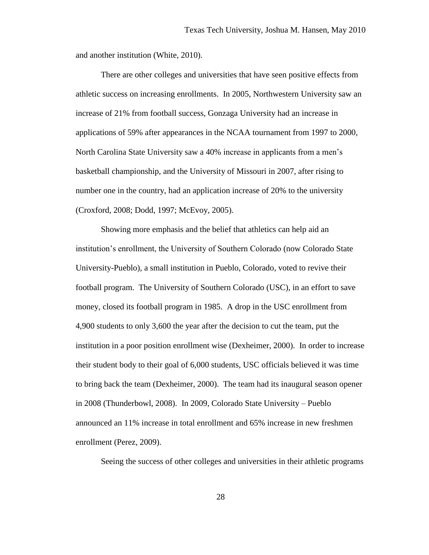and another institution (White, 2010).

There are other colleges and universities that have seen positive effects from athletic success on increasing enrollments. In 2005, Northwestern University saw an increase of 21% from football success, Gonzaga University had an increase in applications of 59% after appearances in the NCAA tournament from 1997 to 2000, North Carolina State University saw a 40% increase in applicants from a men's basketball championship, and the University of Missouri in 2007, after rising to number one in the country, had an application increase of 20% to the university (Croxford, 2008; Dodd, 1997; McEvoy, 2005).

Showing more emphasis and the belief that athletics can help aid an institution's enrollment, the University of Southern Colorado (now Colorado State University-Pueblo), a small institution in Pueblo, Colorado, voted to revive their football program. The University of Southern Colorado (USC), in an effort to save money, closed its football program in 1985. A drop in the USC enrollment from 4,900 students to only 3,600 the year after the decision to cut the team, put the institution in a poor position enrollment wise (Dexheimer, 2000). In order to increase their student body to their goal of 6,000 students, USC officials believed it was time to bring back the team (Dexheimer, 2000). The team had its inaugural season opener in 2008 (Thunderbowl, 2008). In 2009, Colorado State University – Pueblo announced an 11% increase in total enrollment and 65% increase in new freshmen enrollment (Perez, 2009).

Seeing the success of other colleges and universities in their athletic programs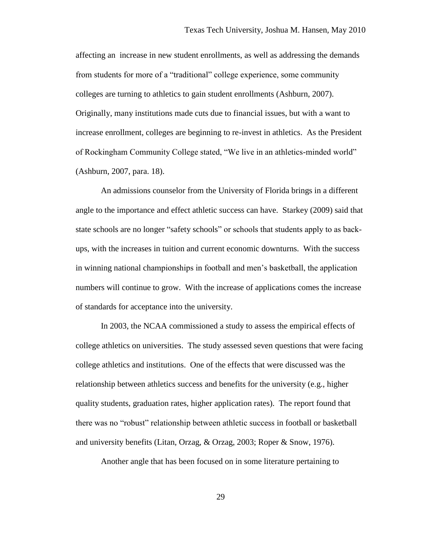affecting an increase in new student enrollments, as well as addressing the demands from students for more of a "traditional" college experience, some community colleges are turning to athletics to gain student enrollments (Ashburn, 2007). Originally, many institutions made cuts due to financial issues, but with a want to increase enrollment, colleges are beginning to re-invest in athletics. As the President of Rockingham Community College stated, "We live in an athletics-minded world" (Ashburn, 2007, para. 18).

An admissions counselor from the University of Florida brings in a different angle to the importance and effect athletic success can have. Starkey (2009) said that state schools are no longer "safety schools" or schools that students apply to as backups, with the increases in tuition and current economic downturns. With the success in winning national championships in football and men's basketball, the application numbers will continue to grow. With the increase of applications comes the increase of standards for acceptance into the university.

In 2003, the NCAA commissioned a study to assess the empirical effects of college athletics on universities. The study assessed seven questions that were facing college athletics and institutions. One of the effects that were discussed was the relationship between athletics success and benefits for the university (e.g., higher quality students, graduation rates, higher application rates). The report found that there was no "robust" relationship between athletic success in football or basketball and university benefits (Litan, Orzag, & Orzag, 2003; Roper & Snow, 1976).

Another angle that has been focused on in some literature pertaining to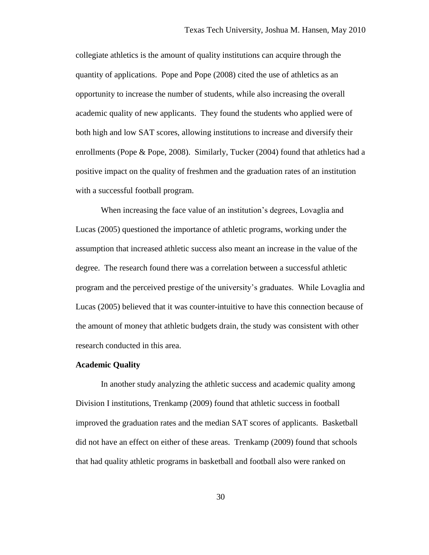collegiate athletics is the amount of quality institutions can acquire through the quantity of applications. Pope and Pope (2008) cited the use of athletics as an opportunity to increase the number of students, while also increasing the overall academic quality of new applicants. They found the students who applied were of both high and low SAT scores, allowing institutions to increase and diversify their enrollments (Pope & Pope, 2008). Similarly, Tucker (2004) found that athletics had a positive impact on the quality of freshmen and the graduation rates of an institution with a successful football program.

When increasing the face value of an institution's degrees, Lovaglia and Lucas (2005) questioned the importance of athletic programs, working under the assumption that increased athletic success also meant an increase in the value of the degree. The research found there was a correlation between a successful athletic program and the perceived prestige of the university's graduates. While Lovaglia and Lucas (2005) believed that it was counter-intuitive to have this connection because of the amount of money that athletic budgets drain, the study was consistent with other research conducted in this area.

### **Academic Quality**

In another study analyzing the athletic success and academic quality among Division I institutions, Trenkamp (2009) found that athletic success in football improved the graduation rates and the median SAT scores of applicants. Basketball did not have an effect on either of these areas. Trenkamp (2009) found that schools that had quality athletic programs in basketball and football also were ranked on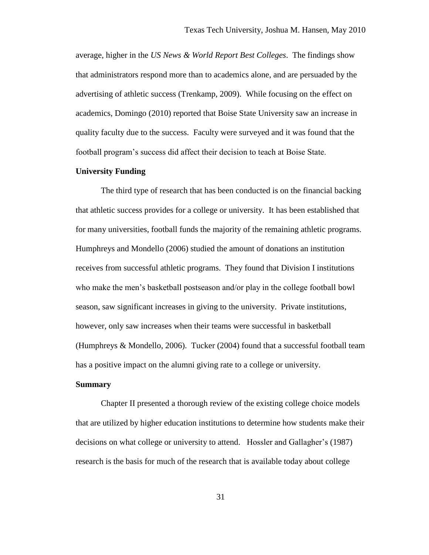average, higher in the *US News & World Report Best Colleges*. The findings show that administrators respond more than to academics alone, and are persuaded by the advertising of athletic success (Trenkamp, 2009). While focusing on the effect on academics, Domingo (2010) reported that Boise State University saw an increase in quality faculty due to the success. Faculty were surveyed and it was found that the football program's success did affect their decision to teach at Boise State.

## **University Funding**

The third type of research that has been conducted is on the financial backing that athletic success provides for a college or university. It has been established that for many universities, football funds the majority of the remaining athletic programs. Humphreys and Mondello (2006) studied the amount of donations an institution receives from successful athletic programs. They found that Division I institutions who make the men's basketball postseason and/or play in the college football bowl season, saw significant increases in giving to the university. Private institutions, however, only saw increases when their teams were successful in basketball (Humphreys & Mondello, 2006). Tucker (2004) found that a successful football team has a positive impact on the alumni giving rate to a college or university.

## **Summary**

Chapter II presented a thorough review of the existing college choice models that are utilized by higher education institutions to determine how students make their decisions on what college or university to attend. Hossler and Gallagher's (1987) research is the basis for much of the research that is available today about college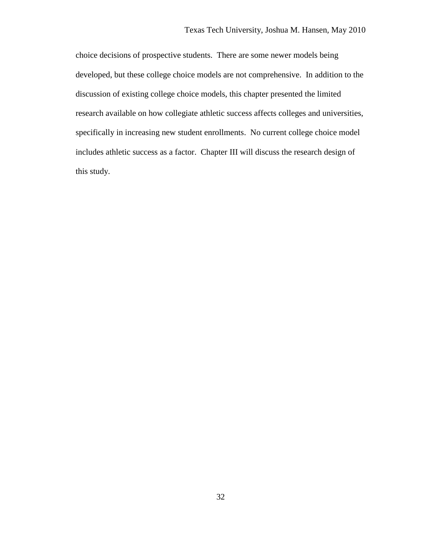choice decisions of prospective students. There are some newer models being developed, but these college choice models are not comprehensive. In addition to the discussion of existing college choice models, this chapter presented the limited research available on how collegiate athletic success affects colleges and universities, specifically in increasing new student enrollments. No current college choice model includes athletic success as a factor. Chapter III will discuss the research design of this study.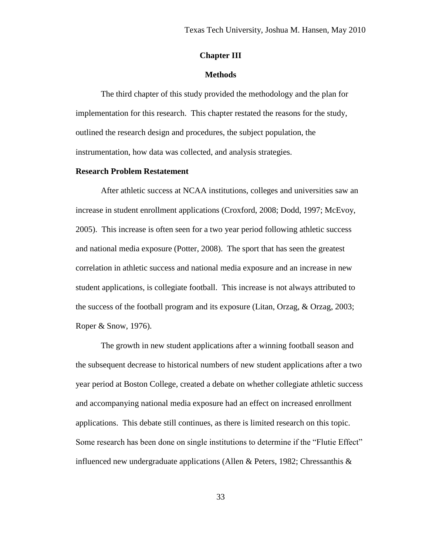## **Chapter III**

## **Methods**

The third chapter of this study provided the methodology and the plan for implementation for this research. This chapter restated the reasons for the study, outlined the research design and procedures, the subject population, the instrumentation, how data was collected, and analysis strategies.

## **Research Problem Restatement**

After athletic success at NCAA institutions, colleges and universities saw an increase in student enrollment applications (Croxford, 2008; Dodd, 1997; McEvoy, 2005). This increase is often seen for a two year period following athletic success and national media exposure (Potter, 2008). The sport that has seen the greatest correlation in athletic success and national media exposure and an increase in new student applications, is collegiate football. This increase is not always attributed to the success of the football program and its exposure (Litan, Orzag, & Orzag, 2003; Roper & Snow, 1976).

The growth in new student applications after a winning football season and the subsequent decrease to historical numbers of new student applications after a two year period at Boston College, created a debate on whether collegiate athletic success and accompanying national media exposure had an effect on increased enrollment applications. This debate still continues, as there is limited research on this topic. Some research has been done on single institutions to determine if the "Flutie Effect" influenced new undergraduate applications (Allen & Peters, 1982; Chressanthis  $\&$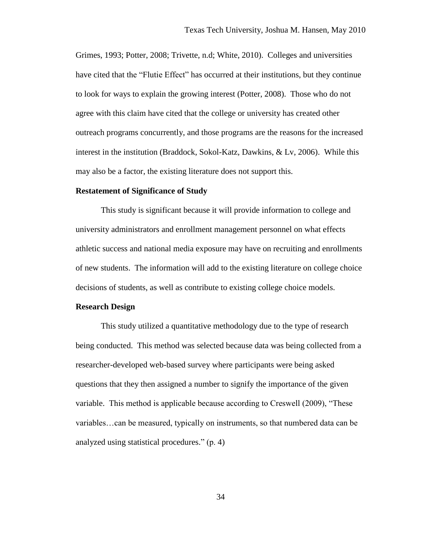Grimes, 1993; Potter, 2008; Trivette, n.d; White, 2010). Colleges and universities have cited that the "Flutie Effect" has occurred at their institutions, but they continue to look for ways to explain the growing interest (Potter, 2008). Those who do not agree with this claim have cited that the college or university has created other outreach programs concurrently, and those programs are the reasons for the increased interest in the institution (Braddock, Sokol-Katz, Dawkins, & Lv, 2006). While this may also be a factor, the existing literature does not support this.

#### **Restatement of Significance of Study**

This study is significant because it will provide information to college and university administrators and enrollment management personnel on what effects athletic success and national media exposure may have on recruiting and enrollments of new students. The information will add to the existing literature on college choice decisions of students, as well as contribute to existing college choice models.

#### **Research Design**

This study utilized a quantitative methodology due to the type of research being conducted. This method was selected because data was being collected from a researcher-developed web-based survey where participants were being asked questions that they then assigned a number to signify the importance of the given variable. This method is applicable because according to Creswell (2009), "These variables…can be measured, typically on instruments, so that numbered data can be analyzed using statistical procedures." (p. 4)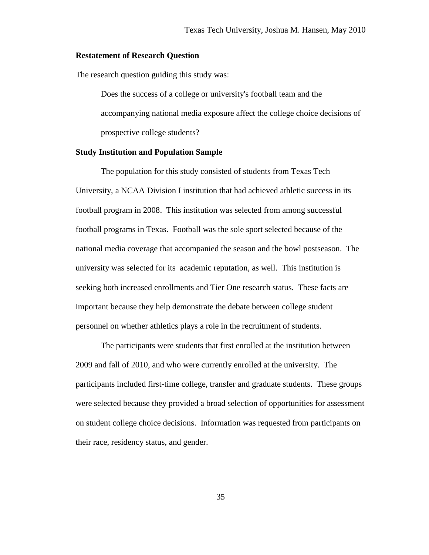## **Restatement of Research Question**

The research question guiding this study was:

Does the success of a college or university's football team and the accompanying national media exposure affect the college choice decisions of prospective college students?

## **Study Institution and Population Sample**

The population for this study consisted of students from Texas Tech University, a NCAA Division I institution that had achieved athletic success in its football program in 2008. This institution was selected from among successful football programs in Texas. Football was the sole sport selected because of the national media coverage that accompanied the season and the bowl postseason. The university was selected for its academic reputation, as well. This institution is seeking both increased enrollments and Tier One research status. These facts are important because they help demonstrate the debate between college student personnel on whether athletics plays a role in the recruitment of students.

The participants were students that first enrolled at the institution between 2009 and fall of 2010, and who were currently enrolled at the university. The participants included first-time college, transfer and graduate students. These groups were selected because they provided a broad selection of opportunities for assessment on student college choice decisions. Information was requested from participants on their race, residency status, and gender.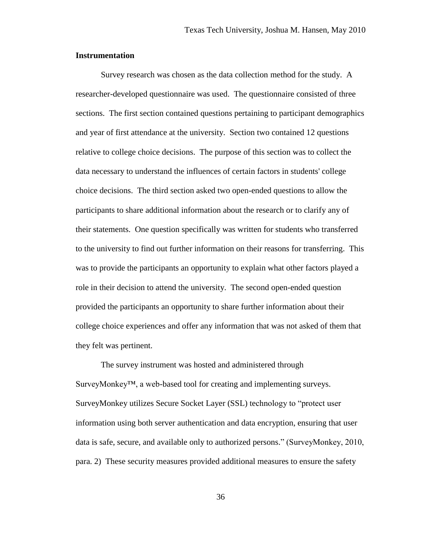## **Instrumentation**

Survey research was chosen as the data collection method for the study. A researcher-developed questionnaire was used. The questionnaire consisted of three sections. The first section contained questions pertaining to participant demographics and year of first attendance at the university. Section two contained 12 questions relative to college choice decisions. The purpose of this section was to collect the data necessary to understand the influences of certain factors in students' college choice decisions. The third section asked two open-ended questions to allow the participants to share additional information about the research or to clarify any of their statements. One question specifically was written for students who transferred to the university to find out further information on their reasons for transferring. This was to provide the participants an opportunity to explain what other factors played a role in their decision to attend the university. The second open-ended question provided the participants an opportunity to share further information about their college choice experiences and offer any information that was not asked of them that they felt was pertinent.

The survey instrument was hosted and administered through SurveyMonkey™, a web-based tool for creating and implementing surveys. SurveyMonkey utilizes Secure Socket Layer (SSL) technology to "protect user information using both server authentication and data encryption, ensuring that user data is safe, secure, and available only to authorized persons." (SurveyMonkey, 2010, para. 2) These security measures provided additional measures to ensure the safety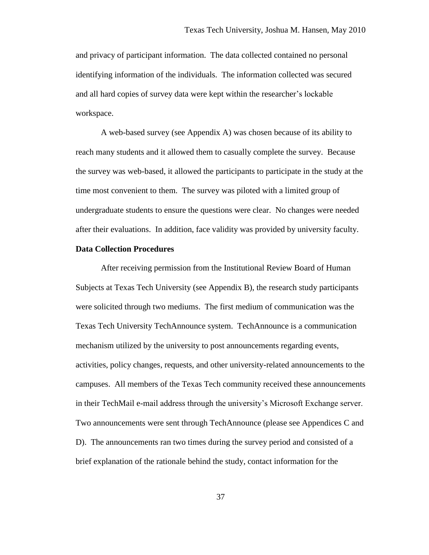and privacy of participant information. The data collected contained no personal identifying information of the individuals. The information collected was secured and all hard copies of survey data were kept within the researcher's lockable workspace.

A web-based survey (see Appendix A) was chosen because of its ability to reach many students and it allowed them to casually complete the survey. Because the survey was web-based, it allowed the participants to participate in the study at the time most convenient to them. The survey was piloted with a limited group of undergraduate students to ensure the questions were clear. No changes were needed after their evaluations. In addition, face validity was provided by university faculty.

## **Data Collection Procedures**

After receiving permission from the Institutional Review Board of Human Subjects at Texas Tech University (see Appendix B), the research study participants were solicited through two mediums. The first medium of communication was the Texas Tech University TechAnnounce system. TechAnnounce is a communication mechanism utilized by the university to post announcements regarding events, activities, policy changes, requests, and other university-related announcements to the campuses. All members of the Texas Tech community received these announcements in their TechMail e-mail address through the university's Microsoft Exchange server. Two announcements were sent through TechAnnounce (please see Appendices C and D). The announcements ran two times during the survey period and consisted of a brief explanation of the rationale behind the study, contact information for the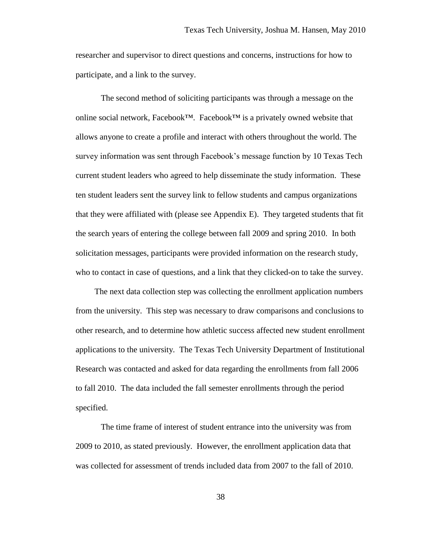researcher and supervisor to direct questions and concerns, instructions for how to participate, and a link to the survey.

The second method of soliciting participants was through a message on the online social network, Facebook™. Facebook™ is a privately owned website that allows anyone to create a profile and interact with others throughout the world. The survey information was sent through Facebook's message function by 10 Texas Tech current student leaders who agreed to help disseminate the study information. These ten student leaders sent the survey link to fellow students and campus organizations that they were affiliated with (please see Appendix E). They targeted students that fit the search years of entering the college between fall 2009 and spring 2010. In both solicitation messages, participants were provided information on the research study, who to contact in case of questions, and a link that they clicked-on to take the survey.

The next data collection step was collecting the enrollment application numbers from the university. This step was necessary to draw comparisons and conclusions to other research, and to determine how athletic success affected new student enrollment applications to the university. The Texas Tech University Department of Institutional Research was contacted and asked for data regarding the enrollments from fall 2006 to fall 2010. The data included the fall semester enrollments through the period specified.

The time frame of interest of student entrance into the university was from 2009 to 2010, as stated previously. However, the enrollment application data that was collected for assessment of trends included data from 2007 to the fall of 2010.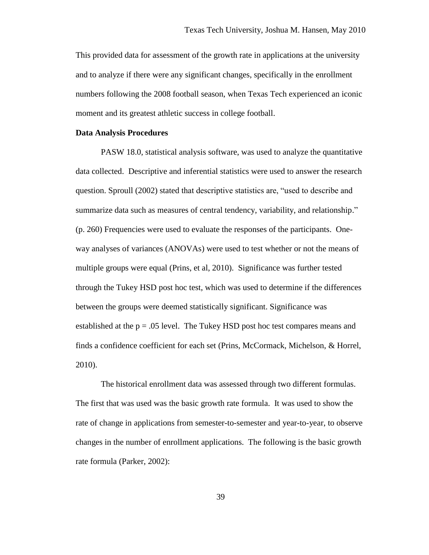This provided data for assessment of the growth rate in applications at the university and to analyze if there were any significant changes, specifically in the enrollment numbers following the 2008 football season, when Texas Tech experienced an iconic moment and its greatest athletic success in college football.

### **Data Analysis Procedures**

PASW 18.0, statistical analysis software, was used to analyze the quantitative data collected. Descriptive and inferential statistics were used to answer the research question. Sproull (2002) stated that descriptive statistics are, "used to describe and summarize data such as measures of central tendency, variability, and relationship." (p. 260) Frequencies were used to evaluate the responses of the participants. Oneway analyses of variances (ANOVAs) were used to test whether or not the means of multiple groups were equal (Prins, et al, 2010). Significance was further tested through the Tukey HSD post hoc test, which was used to determine if the differences between the groups were deemed statistically significant. Significance was established at the  $p = .05$  level. The Tukey HSD post hoc test compares means and finds a confidence coefficient for each set (Prins, McCormack, Michelson, & Horrel, 2010).

The historical enrollment data was assessed through two different formulas. The first that was used was the basic growth rate formula. It was used to show the rate of change in applications from semester-to-semester and year-to-year, to observe changes in the number of enrollment applications. The following is the basic growth rate formula (Parker, 2002):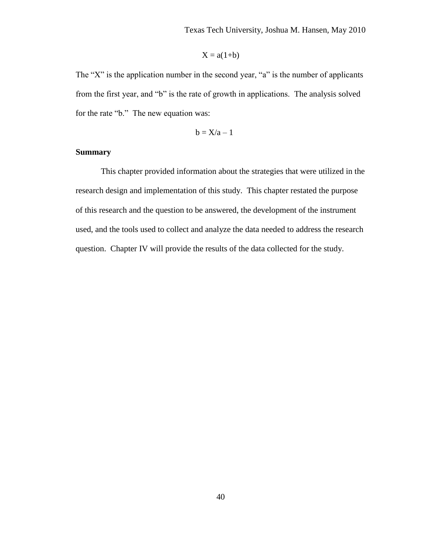$$
X = a(1+b)
$$

The "X" is the application number in the second year, "a" is the number of applicants from the first year, and "b" is the rate of growth in applications. The analysis solved for the rate "b." The new equation was:

$$
b=X/a-1
$$

# **Summary**

This chapter provided information about the strategies that were utilized in the research design and implementation of this study. This chapter restated the purpose of this research and the question to be answered, the development of the instrument used, and the tools used to collect and analyze the data needed to address the research question. Chapter IV will provide the results of the data collected for the study.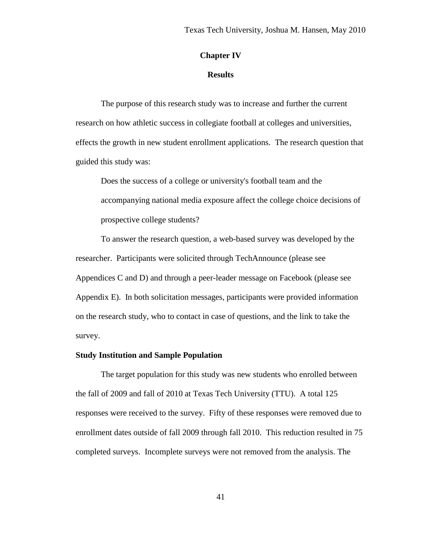# **Chapter IV**

## **Results**

The purpose of this research study was to increase and further the current research on how athletic success in collegiate football at colleges and universities, effects the growth in new student enrollment applications. The research question that guided this study was:

Does the success of a college or university's football team and the accompanying national media exposure affect the college choice decisions of prospective college students?

To answer the research question, a web-based survey was developed by the researcher. Participants were solicited through TechAnnounce (please see Appendices C and D) and through a peer-leader message on Facebook (please see Appendix E). In both solicitation messages, participants were provided information on the research study, who to contact in case of questions, and the link to take the survey.

## **Study Institution and Sample Population**

The target population for this study was new students who enrolled between the fall of 2009 and fall of 2010 at Texas Tech University (TTU). A total 125 responses were received to the survey. Fifty of these responses were removed due to enrollment dates outside of fall 2009 through fall 2010. This reduction resulted in 75 completed surveys. Incomplete surveys were not removed from the analysis. The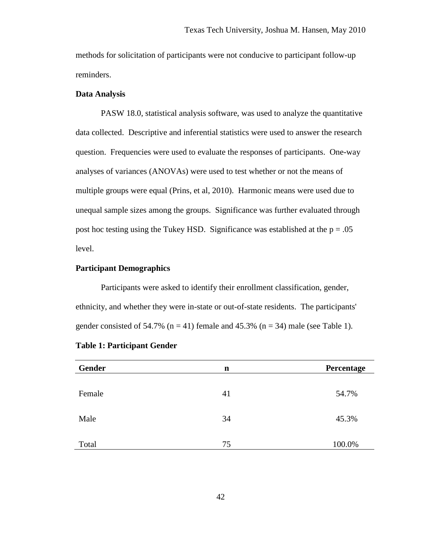methods for solicitation of participants were not conducive to participant follow-up reminders.

### **Data Analysis**

PASW 18.0, statistical analysis software, was used to analyze the quantitative data collected. Descriptive and inferential statistics were used to answer the research question. Frequencies were used to evaluate the responses of participants. One-way analyses of variances (ANOVAs) were used to test whether or not the means of multiple groups were equal (Prins, et al, 2010). Harmonic means were used due to unequal sample sizes among the groups. Significance was further evaluated through post hoc testing using the Tukey HSD. Significance was established at the  $p = .05$ level.

## **Participant Demographics**

Participants were asked to identify their enrollment classification, gender, ethnicity, and whether they were in-state or out-of-state residents. The participants' gender consisted of 54.7% ( $n = 41$ ) female and 45.3% ( $n = 34$ ) male (see Table 1).

| Gender | n  | Percentage |
|--------|----|------------|
| Female | 41 | 54.7%      |
| Male   | 34 | 45.3%      |
| Total  | 75 | 100.0%     |

|  |  | <b>Table 1: Participant Gender</b> |  |
|--|--|------------------------------------|--|
|--|--|------------------------------------|--|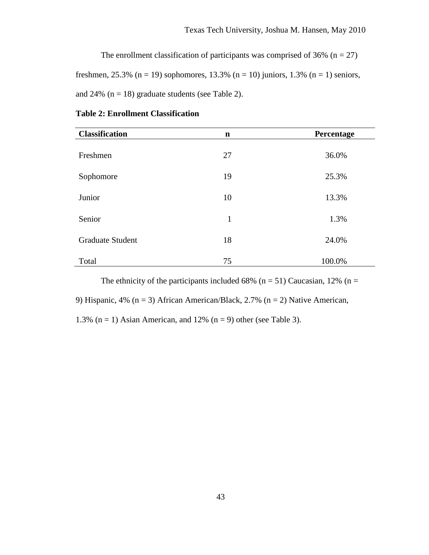The enrollment classification of participants was comprised of 36% ( $n = 27$ ) freshmen, 25.3% (n = 19) sophomores, 13.3% (n = 10) juniors, 1.3% (n = 1) seniors, and 24%  $(n = 18)$  graduate students (see Table 2).

| <b>Classification</b>   | n  | Percentage |
|-------------------------|----|------------|
| Freshmen                | 27 | 36.0%      |
| Sophomore               | 19 | 25.3%      |
| Junior                  | 10 | 13.3%      |
| Senior                  | 1  | 1.3%       |
| <b>Graduate Student</b> | 18 | 24.0%      |
| Total                   | 75 | 100.0%     |

### **Table 2: Enrollment Classification**

The ethnicity of the participants included 68% ( $n = 51$ ) Caucasian, 12% ( $n =$ 9) Hispanic, 4% ( $n = 3$ ) African American/Black, 2.7% ( $n = 2$ ) Native American, 1.3% ( $n = 1$ ) Asian American, and 12% ( $n = 9$ ) other (see Table 3).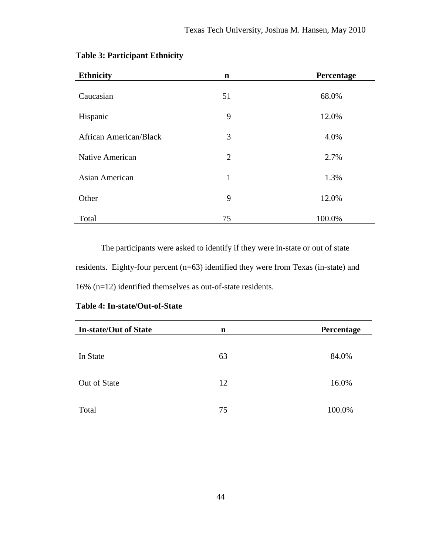| <b>Ethnicity</b>              | $\mathbf n$    | Percentage |
|-------------------------------|----------------|------------|
| Caucasian                     | 51             | 68.0%      |
| Hispanic                      | 9              | 12.0%      |
| <b>African American/Black</b> | 3              | 4.0%       |
| Native American               | $\overline{2}$ | 2.7%       |
| Asian American                | $\mathbf{1}$   | 1.3%       |
| Other                         | 9              | 12.0%      |
| Total                         | 75             | 100.0%     |

# **Table 3: Participant Ethnicity**

The participants were asked to identify if they were in-state or out of state residents. Eighty-four percent (n=63) identified they were from Texas (in-state) and 16% (n=12) identified themselves as out-of-state residents.

| <b>In-state/Out of State</b> | n  | Percentage |
|------------------------------|----|------------|
| In State                     | 63 | 84.0%      |
| Out of State                 | 12 | 16.0%      |
| Total                        | 75 | 100.0%     |

# **Table 4: In-state/Out-of-State**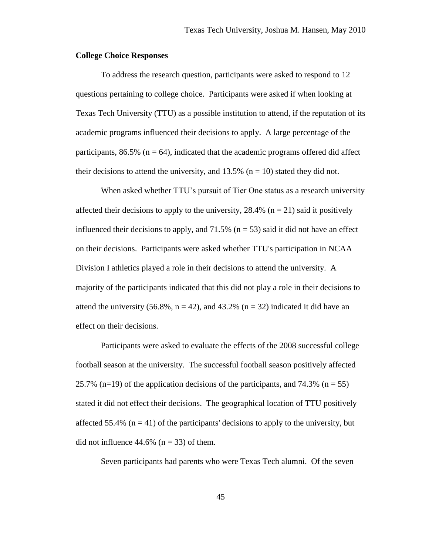## **College Choice Responses**

To address the research question, participants were asked to respond to 12 questions pertaining to college choice. Participants were asked if when looking at Texas Tech University (TTU) as a possible institution to attend, if the reputation of its academic programs influenced their decisions to apply. A large percentage of the participants,  $86.5\%$  (n = 64), indicated that the academic programs offered did affect their decisions to attend the university, and  $13.5\%$  (n = 10) stated they did not.

When asked whether TTU's pursuit of Tier One status as a research university affected their decisions to apply to the university,  $28.4\%$  (n = 21) said it positively influenced their decisions to apply, and  $71.5\%$  (n = 53) said it did not have an effect on their decisions. Participants were asked whether TTU's participation in NCAA Division I athletics played a role in their decisions to attend the university. A majority of the participants indicated that this did not play a role in their decisions to attend the university (56.8%,  $n = 42$ ), and 43.2% ( $n = 32$ ) indicated it did have an effect on their decisions.

Participants were asked to evaluate the effects of the 2008 successful college football season at the university. The successful football season positively affected 25.7% (n=19) of the application decisions of the participants, and 74.3% (n = 55) stated it did not effect their decisions. The geographical location of TTU positively affected 55.4% ( $n = 41$ ) of the participants' decisions to apply to the university, but did not influence  $44.6\%$  (n = 33) of them.

Seven participants had parents who were Texas Tech alumni. Of the seven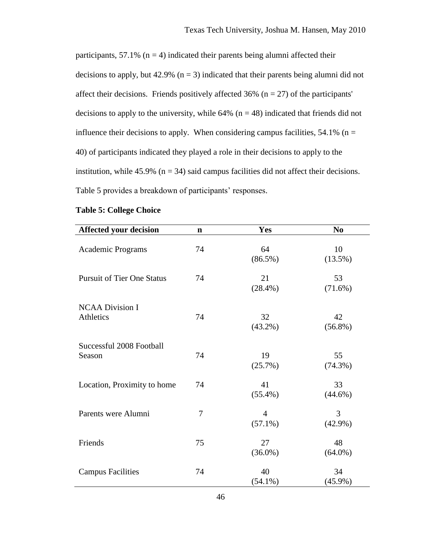participants,  $57.1\%$  (n = 4) indicated their parents being alumni affected their decisions to apply, but  $42.9\%$  (n = 3) indicated that their parents being alumni did not affect their decisions. Friends positively affected 36% ( $n = 27$ ) of the participants' decisions to apply to the university, while  $64\%$  (n = 48) indicated that friends did not influence their decisions to apply. When considering campus facilities,  $54.1\%$  (n = 40) of participants indicated they played a role in their decisions to apply to the institution, while 45.9% ( $n = 34$ ) said campus facilities did not affect their decisions. Table 5 provides a breakdown of participants' responses.

| <b>Affected your decision</b>       | $\mathbf n$ | Yes                          | N <sub>0</sub>   |
|-------------------------------------|-------------|------------------------------|------------------|
| <b>Academic Programs</b>            | 74          | 64<br>$(86.5\%)$             | 10<br>$(13.5\%)$ |
| <b>Pursuit of Tier One Status</b>   | 74          | 21<br>$(28.4\%)$             | 53<br>$(71.6\%)$ |
| <b>NCAA Division I</b><br>Athletics | 74          | 32<br>$(43.2\%)$             | 42<br>$(56.8\%)$ |
| Successful 2008 Football<br>Season  | 74          | 19<br>(25.7%)                | 55<br>$(74.3\%)$ |
| Location, Proximity to home         | 74          | 41<br>$(55.4\%)$             | 33<br>$(44.6\%)$ |
| Parents were Alumni                 | 7           | $\overline{4}$<br>$(57.1\%)$ | 3<br>$(42.9\%)$  |
| Friends                             | 75          | 27<br>$(36.0\%)$             | 48<br>$(64.0\%)$ |
| <b>Campus Facilities</b>            | 74          | 40<br>$(54.1\%)$             | 34<br>$(45.9\%)$ |

# **Table 5: College Choice**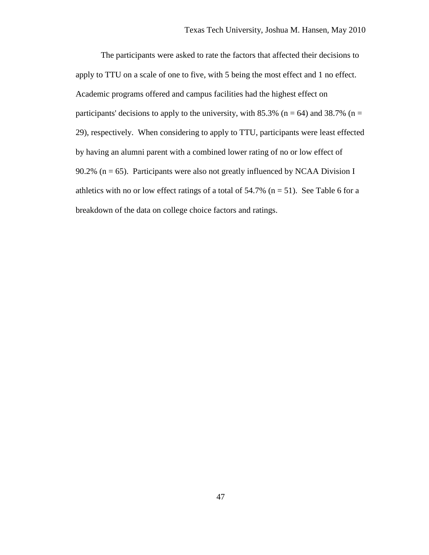The participants were asked to rate the factors that affected their decisions to apply to TTU on a scale of one to five, with 5 being the most effect and 1 no effect. Academic programs offered and campus facilities had the highest effect on participants' decisions to apply to the university, with 85.3% ( $n = 64$ ) and 38.7% ( $n =$ 29), respectively. When considering to apply to TTU, participants were least effected by having an alumni parent with a combined lower rating of no or low effect of 90.2% ( $n = 65$ ). Participants were also not greatly influenced by NCAA Division I athletics with no or low effect ratings of a total of  $54.7\%$  (n = 51). See Table 6 for a breakdown of the data on college choice factors and ratings.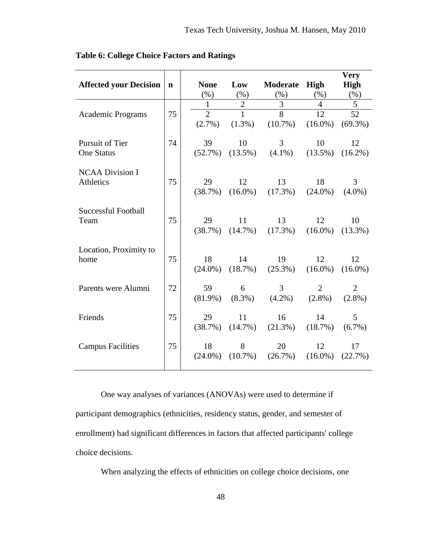|                               |             |                |                |                |                 | Very           |
|-------------------------------|-------------|----------------|----------------|----------------|-----------------|----------------|
| <b>Affected your Decision</b> | $\mathbf n$ | <b>None</b>    | Low            | Moderate       | High            | <b>High</b>    |
|                               |             | (% )           | (%)            | (% )           | (% )            | (% )           |
|                               |             | $\mathbf{1}$   | $\overline{2}$ | 3              | 4               | 5              |
| <b>Academic Programs</b>      | 75          | $\overline{2}$ | $\mathbf{1}$   | $\overline{8}$ | $\overline{12}$ | 52             |
|                               |             | $(2.7\%)$      | $(1.3\%)$      | $(10.7\%)$     | $(16.0\%)$      | $(69.3\%)$     |
| Pursuit of Tier               | 74          | 39             | 10             | 3              | 10              | 12             |
| <b>One Status</b>             |             | (52.7%)        | $(13.5\%)$     | $(4.1\%)$      | $(13.5\%)$      | $(16.2\%)$     |
| <b>NCAA Division I</b>        |             |                |                |                |                 |                |
| Athletics                     | 75          | 29             | 12             | 13             | 18              | 3              |
|                               |             | (38.7%)        | $(16.0\%)$     | $(17.3\%)$     | $(24.0\%)$      | $(4.0\%)$      |
| <b>Successful Football</b>    |             |                |                |                |                 |                |
| Team                          | 75          | 29             | 11             | 13             | 12              | 10             |
|                               |             | (38.7%)        | $(14.7\%)$     | $(17.3\%)$     | $(16.0\%)$      | $(13.3\%)$     |
| Location, Proximity to        |             |                |                |                |                 |                |
| home                          | 75          | 18             | 14             | 19             | 12              | 12             |
|                               |             | $(24.0\%)$     | $(18.7\%)$     | $(25.3\%)$     | $(16.0\%)$      | $(16.0\%)$     |
| Parents were Alumni           | 72          | 59             | 6              | 3              | $\overline{2}$  | $\overline{2}$ |
|                               |             | $(81.9\%)$     | $(8.3\%)$      | $(4.2\%)$      | $(2.8\%)$       | $(2.8\%)$      |
| Friends                       | 75          | 29             | 11             | 16             | 14              | 5              |
|                               |             | (38.7%)        | $(14.7\%)$     | $(21.3\%)$     | (18.7%)         | $(6.7\%)$      |
| <b>Campus Facilities</b>      | 75          | 18             | 8              | 20             | 12              | 17             |
|                               |             | $(24.0\%)$     | $(10.7\%)$     | $(26.7\%)$     | $(16.0\%)$      | (22.7%)        |
|                               |             |                |                |                |                 |                |

**Table 6: College Choice Factors and Ratings**

One way analyses of variances (ANOVAs) were used to determine if participant demographics (ethnicities, residency status, gender, and semester of enrollment) had significant differences in factors that affected participants' college choice decisions.

When analyzing the effects of ethnicities on college choice decisions, one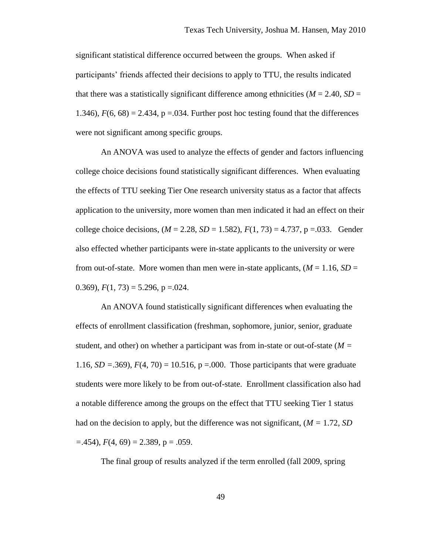significant statistical difference occurred between the groups. When asked if participants' friends affected their decisions to apply to TTU, the results indicated that there was a statistically significant difference among ethnicities ( $M = 2.40$ ,  $SD =$ 1.346),  $F(6, 68) = 2.434$ ,  $p = 0.034$ . Further post hoc testing found that the differences were not significant among specific groups.

An ANOVA was used to analyze the effects of gender and factors influencing college choice decisions found statistically significant differences. When evaluating the effects of TTU seeking Tier One research university status as a factor that affects application to the university, more women than men indicated it had an effect on their college choice decisions,  $(M = 2.28, SD = 1.582)$ ,  $F(1, 73) = 4.737$ ,  $p = .033$ . Gender also effected whether participants were in-state applicants to the university or were from out-of-state. More women than men were in-state applicants,  $(M = 1.16, SD =$ 0.369),  $F(1, 73) = 5.296$ ,  $p = .024$ .

An ANOVA found statistically significant differences when evaluating the effects of enrollment classification (freshman, sophomore, junior, senior, graduate student, and other) on whether a participant was from in-state or out-of-state (*M =*  1.16*, SD =*.369), *F*(4, 70) = 10.516, p =.000. Those participants that were graduate students were more likely to be from out-of-state. Enrollment classification also had a notable difference among the groups on the effect that TTU seeking Tier 1 status had on the decision to apply, but the difference was not significant, (*M =* 1.72*, SD =*.454), *F*(4, 69) = 2.389, p = .059.

The final group of results analyzed if the term enrolled (fall 2009, spring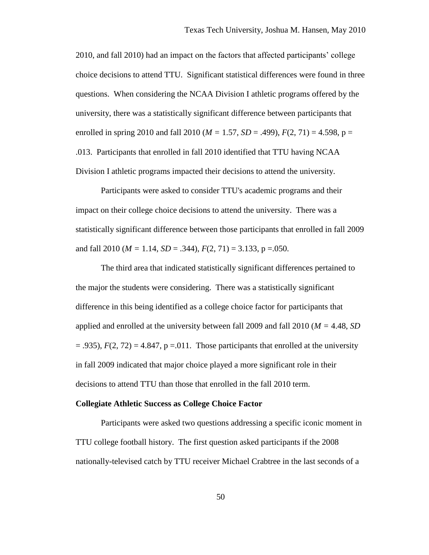2010, and fall 2010) had an impact on the factors that affected participants' college choice decisions to attend TTU. Significant statistical differences were found in three questions. When considering the NCAA Division I athletic programs offered by the university, there was a statistically significant difference between participants that enrolled in spring 2010 and fall 2010 ( $M = 1.57$ ,  $SD = .499$ ),  $F(2, 71) = 4.598$ ,  $p =$ .013. Participants that enrolled in fall 2010 identified that TTU having NCAA Division I athletic programs impacted their decisions to attend the university.

Participants were asked to consider TTU's academic programs and their impact on their college choice decisions to attend the university. There was a statistically significant difference between those participants that enrolled in fall 2009 and fall 2010 ( $M = 1.14$ ,  $SD = .344$ ),  $F(2, 71) = 3.133$ ,  $p = .050$ .

The third area that indicated statistically significant differences pertained to the major the students were considering. There was a statistically significant difference in this being identified as a college choice factor for participants that applied and enrolled at the university between fall 2009 and fall 2010 (*M =* 4.48, *SD*   $=$  .935),  $F(2, 72) = 4.847$ ,  $p = 0.011$ . Those participants that enrolled at the university in fall 2009 indicated that major choice played a more significant role in their decisions to attend TTU than those that enrolled in the fall 2010 term.

### **Collegiate Athletic Success as College Choice Factor**

Participants were asked two questions addressing a specific iconic moment in TTU college football history. The first question asked participants if the 2008 nationally-televised catch by TTU receiver Michael Crabtree in the last seconds of a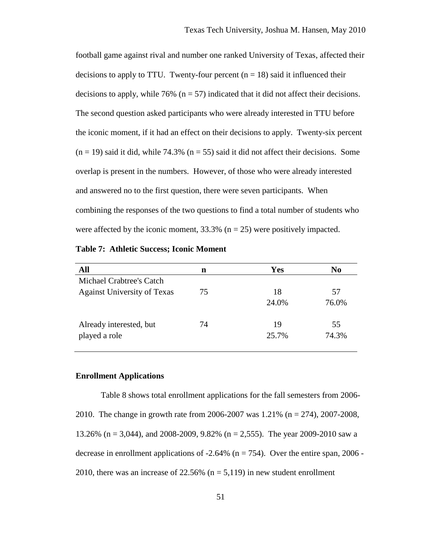football game against rival and number one ranked University of Texas, affected their decisions to apply to TTU. Twenty-four percent  $(n = 18)$  said it influenced their decisions to apply, while  $76\%$  ( $n = 57$ ) indicated that it did not affect their decisions. The second question asked participants who were already interested in TTU before the iconic moment, if it had an effect on their decisions to apply. Twenty-six percent  $(n = 19)$  said it did, while 74.3%  $(n = 55)$  said it did not affect their decisions. Some overlap is present in the numbers. However, of those who were already interested and answered no to the first question, there were seven participants. When combining the responses of the two questions to find a total number of students who were affected by the iconic moment,  $33.3\%$  (n = 25) were positively impacted.

**Table 7: Athletic Success; Iconic Moment**

| All                                | n  | <b>Yes</b> | No    |
|------------------------------------|----|------------|-------|
| <b>Michael Crabtree's Catch</b>    |    |            |       |
| <b>Against University of Texas</b> | 75 | 18         | 57    |
|                                    |    | 24.0%      | 76.0% |
| Already interested, but            | 74 | 19         | 55    |
| played a role                      |    | 25.7%      | 74.3% |
|                                    |    |            |       |

### **Enrollment Applications**

Table 8 shows total enrollment applications for the fall semesters from 2006- 2010. The change in growth rate from 2006-2007 was 1.21% (n = 274), 2007-2008, 13.26% (n = 3,044), and 2008-2009, 9.82% (n = 2,555). The year 2009-2010 saw a decrease in enrollment applications of  $-2.64\%$  (n = 754). Over the entire span, 2006 -2010, there was an increase of 22.56% ( $n = 5,119$ ) in new student enrollment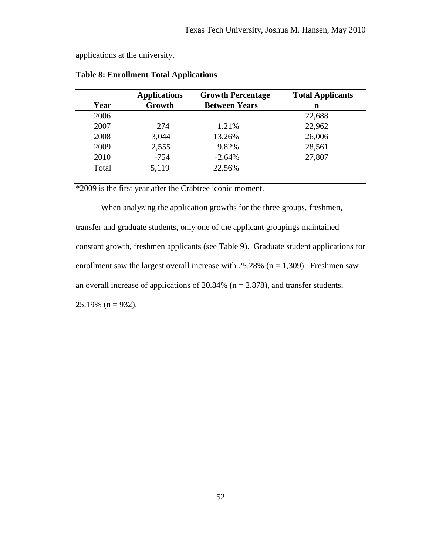applications at the university.

|       | <b>Applications</b> | <b>Growth Percentage</b> | <b>Total Applicants</b> |
|-------|---------------------|--------------------------|-------------------------|
| Year  | Growth              | <b>Between Years</b>     | n                       |
| 2006  |                     |                          | 22,688                  |
| 2007  | 274                 | 1.21%                    | 22,962                  |
| 2008  | 3,044               | 13.26%                   | 26,006                  |
| 2009  | 2,555               | 9.82%                    | 28,561                  |
| 2010  | $-754$              | $-2.64%$                 | 27,807                  |
| Total | 5,119               | 22.56%                   |                         |

**Table 8: Enrollment Total Applications** 

\*2009 is the first year after the Crabtree iconic moment.

When analyzing the application growths for the three groups, freshmen, transfer and graduate students, only one of the applicant groupings maintained constant growth, freshmen applicants (see Table 9). Graduate student applications for enrollment saw the largest overall increase with  $25.28\%$  (n = 1,309). Freshmen saw an overall increase of applications of  $20.84\%$  (n = 2,878), and transfer students,  $25.19\%$  (n = 932).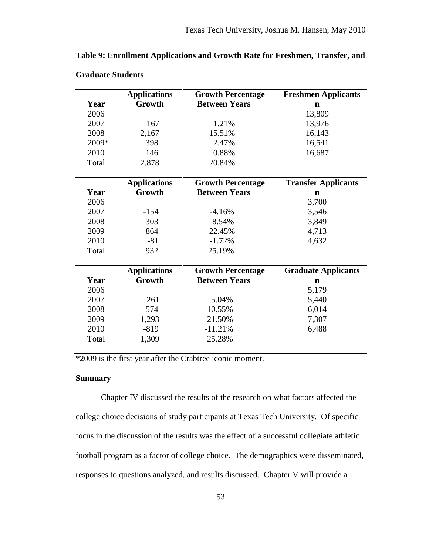|       | <b>Applications</b> | <b>Growth Percentage</b> | <b>Freshmen Applicants</b> |
|-------|---------------------|--------------------------|----------------------------|
| Year  | Growth              | <b>Between Years</b>     | n                          |
| 2006  |                     |                          | 13,809                     |
| 2007  | 167                 | 1.21%                    | 13,976                     |
| 2008  | 2,167               | 15.51%                   | 16,143                     |
| 2009* | 398                 | 2.47%                    | 16,541                     |
| 2010  | 146                 | 0.88%                    | 16,687                     |
| Total | 2,878               | 20.84%                   |                            |
|       | <b>Applications</b> | <b>Growth Percentage</b> | <b>Transfer Applicants</b> |
| Year  | Growth              | <b>Between Years</b>     | $\mathbf n$                |
| 2006  |                     |                          | 3,700                      |
| 2007  | $-154$              | $-4.16%$                 | 3,546                      |
| 2008  | 303                 | 8.54%                    | 3,849                      |
| 2009  | 864                 | 22.45%                   | 4,713                      |
| 2010  | $-81$               | $-1.72%$                 | 4,632                      |
| Total | 932                 | 25.19%                   |                            |
|       | <b>Applications</b> | <b>Growth Percentage</b> | <b>Graduate Applicants</b> |
| Year  | Growth              | <b>Between Years</b>     | n                          |
| 2006  |                     |                          | 5,179                      |
| 2007  | 261                 | 5.04%                    | 5,440                      |
| 2008  | 574                 | 10.55%                   | 6,014                      |
| 2009  | 1,293               | 21.50%                   | 7,307                      |
| 2010  | $-819$              | $-11.21%$                | 6,488                      |

**Table 9: Enrollment Applications and Growth Rate for Freshmen, Transfer, and** 

| <b>Graduate Students</b> |  |
|--------------------------|--|
|--------------------------|--|

\*2009 is the first year after the Crabtree iconic moment.

Total 1,309 25.28%

# **Summary**

Chapter IV discussed the results of the research on what factors affected the college choice decisions of study participants at Texas Tech University. Of specific focus in the discussion of the results was the effect of a successful collegiate athletic football program as a factor of college choice. The demographics were disseminated, responses to questions analyzed, and results discussed. Chapter V will provide a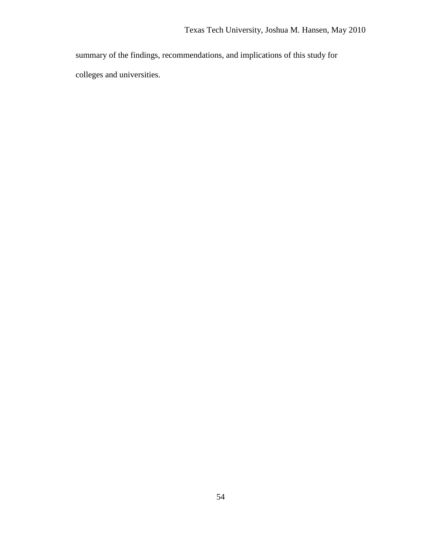summary of the findings, recommendations, and implications of this study for colleges and universities.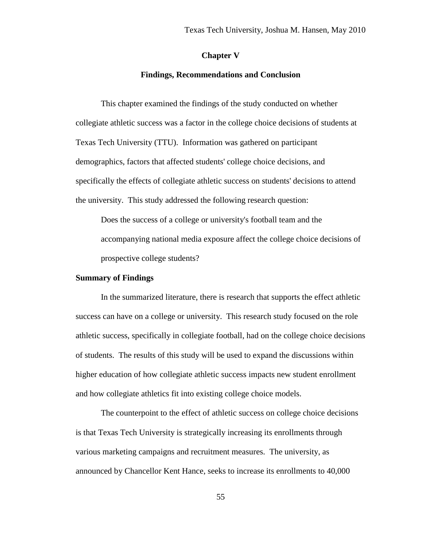### **Chapter V**

### **Findings, Recommendations and Conclusion**

This chapter examined the findings of the study conducted on whether collegiate athletic success was a factor in the college choice decisions of students at Texas Tech University (TTU). Information was gathered on participant demographics, factors that affected students' college choice decisions, and specifically the effects of collegiate athletic success on students' decisions to attend the university. This study addressed the following research question:

Does the success of a college or university's football team and the accompanying national media exposure affect the college choice decisions of prospective college students?

### **Summary of Findings**

In the summarized literature, there is research that supports the effect athletic success can have on a college or university. This research study focused on the role athletic success, specifically in collegiate football, had on the college choice decisions of students. The results of this study will be used to expand the discussions within higher education of how collegiate athletic success impacts new student enrollment and how collegiate athletics fit into existing college choice models.

The counterpoint to the effect of athletic success on college choice decisions is that Texas Tech University is strategically increasing its enrollments through various marketing campaigns and recruitment measures. The university, as announced by Chancellor Kent Hance, seeks to increase its enrollments to 40,000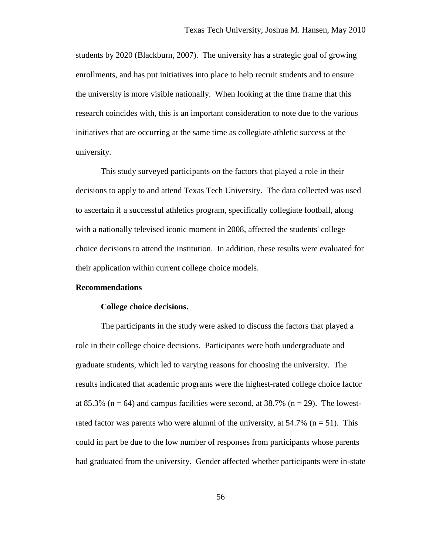students by 2020 (Blackburn, 2007). The university has a strategic goal of growing enrollments, and has put initiatives into place to help recruit students and to ensure the university is more visible nationally. When looking at the time frame that this research coincides with, this is an important consideration to note due to the various initiatives that are occurring at the same time as collegiate athletic success at the university.

This study surveyed participants on the factors that played a role in their decisions to apply to and attend Texas Tech University. The data collected was used to ascertain if a successful athletics program, specifically collegiate football, along with a nationally televised iconic moment in 2008, affected the students' college choice decisions to attend the institution. In addition, these results were evaluated for their application within current college choice models.

### **Recommendations**

### **College choice decisions.**

The participants in the study were asked to discuss the factors that played a role in their college choice decisions. Participants were both undergraduate and graduate students, which led to varying reasons for choosing the university. The results indicated that academic programs were the highest-rated college choice factor at 85.3% ( $n = 64$ ) and campus facilities were second, at 38.7% ( $n = 29$ ). The lowestrated factor was parents who were alumni of the university, at  $54.7\%$  (n = 51). This could in part be due to the low number of responses from participants whose parents had graduated from the university. Gender affected whether participants were in-state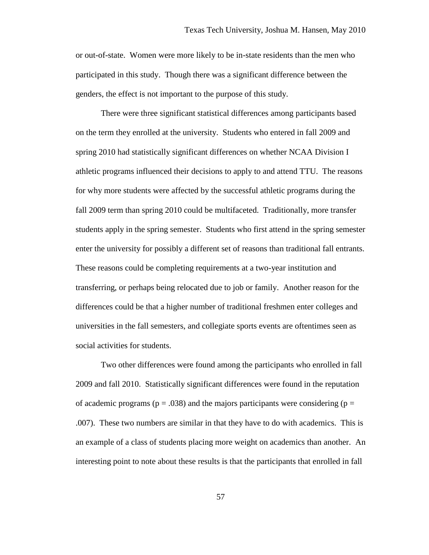or out-of-state. Women were more likely to be in-state residents than the men who participated in this study. Though there was a significant difference between the genders, the effect is not important to the purpose of this study.

There were three significant statistical differences among participants based on the term they enrolled at the university. Students who entered in fall 2009 and spring 2010 had statistically significant differences on whether NCAA Division I athletic programs influenced their decisions to apply to and attend TTU. The reasons for why more students were affected by the successful athletic programs during the fall 2009 term than spring 2010 could be multifaceted. Traditionally, more transfer students apply in the spring semester. Students who first attend in the spring semester enter the university for possibly a different set of reasons than traditional fall entrants. These reasons could be completing requirements at a two-year institution and transferring, or perhaps being relocated due to job or family. Another reason for the differences could be that a higher number of traditional freshmen enter colleges and universities in the fall semesters, and collegiate sports events are oftentimes seen as social activities for students.

Two other differences were found among the participants who enrolled in fall 2009 and fall 2010. Statistically significant differences were found in the reputation of academic programs ( $p = .038$ ) and the majors participants were considering ( $p =$ .007). These two numbers are similar in that they have to do with academics. This is an example of a class of students placing more weight on academics than another. An interesting point to note about these results is that the participants that enrolled in fall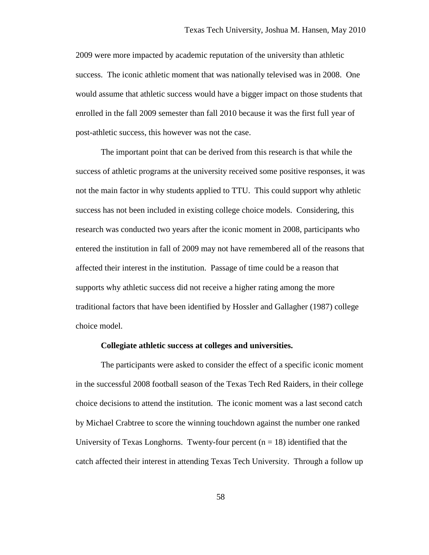2009 were more impacted by academic reputation of the university than athletic success. The iconic athletic moment that was nationally televised was in 2008. One would assume that athletic success would have a bigger impact on those students that enrolled in the fall 2009 semester than fall 2010 because it was the first full year of post-athletic success, this however was not the case.

The important point that can be derived from this research is that while the success of athletic programs at the university received some positive responses, it was not the main factor in why students applied to TTU. This could support why athletic success has not been included in existing college choice models. Considering, this research was conducted two years after the iconic moment in 2008, participants who entered the institution in fall of 2009 may not have remembered all of the reasons that affected their interest in the institution. Passage of time could be a reason that supports why athletic success did not receive a higher rating among the more traditional factors that have been identified by Hossler and Gallagher (1987) college choice model.

### **Collegiate athletic success at colleges and universities.**

The participants were asked to consider the effect of a specific iconic moment in the successful 2008 football season of the Texas Tech Red Raiders, in their college choice decisions to attend the institution. The iconic moment was a last second catch by Michael Crabtree to score the winning touchdown against the number one ranked University of Texas Longhorns. Twenty-four percent  $(n = 18)$  identified that the catch affected their interest in attending Texas Tech University. Through a follow up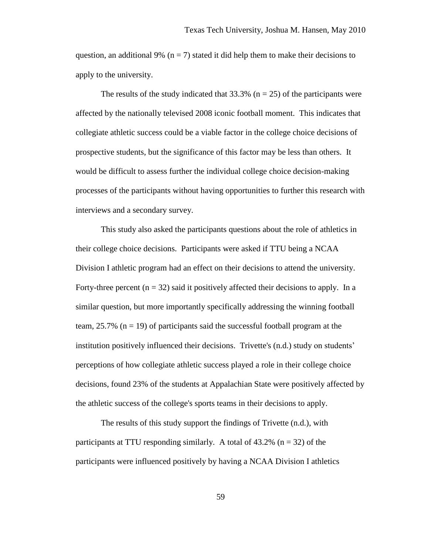question, an additional 9% ( $n = 7$ ) stated it did help them to make their decisions to apply to the university.

The results of the study indicated that  $33.3\%$  (n = 25) of the participants were affected by the nationally televised 2008 iconic football moment. This indicates that collegiate athletic success could be a viable factor in the college choice decisions of prospective students, but the significance of this factor may be less than others. It would be difficult to assess further the individual college choice decision-making processes of the participants without having opportunities to further this research with interviews and a secondary survey.

This study also asked the participants questions about the role of athletics in their college choice decisions. Participants were asked if TTU being a NCAA Division I athletic program had an effect on their decisions to attend the university. Forty-three percent  $(n = 32)$  said it positively affected their decisions to apply. In a similar question, but more importantly specifically addressing the winning football team,  $25.7\%$  ( $n = 19$ ) of participants said the successful football program at the institution positively influenced their decisions. Trivette's (n.d.) study on students' perceptions of how collegiate athletic success played a role in their college choice decisions, found 23% of the students at Appalachian State were positively affected by the athletic success of the college's sports teams in their decisions to apply.

The results of this study support the findings of Trivette (n.d.), with participants at TTU responding similarly. A total of  $43.2\%$  (n = 32) of the participants were influenced positively by having a NCAA Division I athletics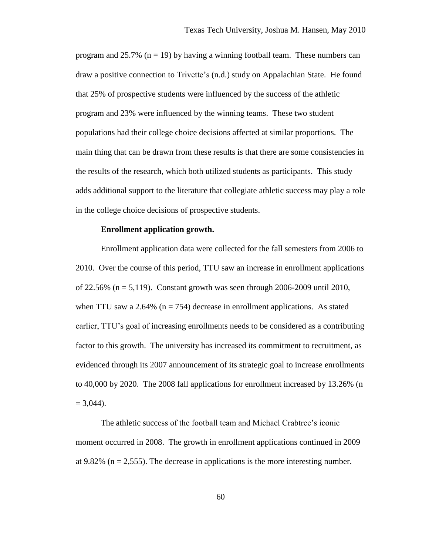program and 25.7% ( $n = 19$ ) by having a winning football team. These numbers can draw a positive connection to Trivette's (n.d.) study on Appalachian State. He found that 25% of prospective students were influenced by the success of the athletic program and 23% were influenced by the winning teams. These two student populations had their college choice decisions affected at similar proportions. The main thing that can be drawn from these results is that there are some consistencies in the results of the research, which both utilized students as participants. This study adds additional support to the literature that collegiate athletic success may play a role in the college choice decisions of prospective students.

### **Enrollment application growth.**

Enrollment application data were collected for the fall semesters from 2006 to 2010. Over the course of this period, TTU saw an increase in enrollment applications of 22.56% (n = 5,119). Constant growth was seen through 2006-2009 until 2010, when TTU saw a 2.64% ( $n = 754$ ) decrease in enrollment applications. As stated earlier, TTU's goal of increasing enrollments needs to be considered as a contributing factor to this growth. The university has increased its commitment to recruitment, as evidenced through its 2007 announcement of its strategic goal to increase enrollments to 40,000 by 2020. The 2008 fall applications for enrollment increased by 13.26% (n  $= 3,044$ ).

The athletic success of the football team and Michael Crabtree's iconic moment occurred in 2008. The growth in enrollment applications continued in 2009 at 9.82% ( $n = 2,555$ ). The decrease in applications is the more interesting number.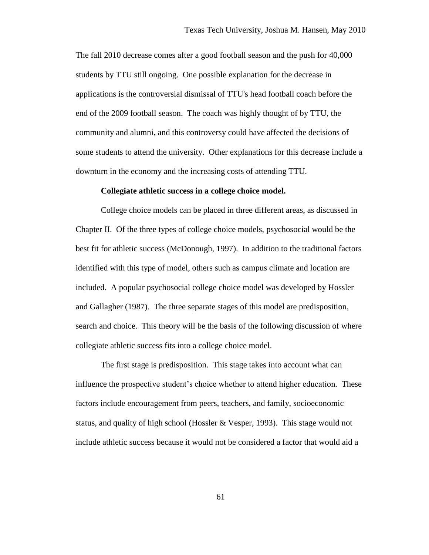The fall 2010 decrease comes after a good football season and the push for 40,000 students by TTU still ongoing. One possible explanation for the decrease in applications is the controversial dismissal of TTU's head football coach before the end of the 2009 football season. The coach was highly thought of by TTU, the community and alumni, and this controversy could have affected the decisions of some students to attend the university. Other explanations for this decrease include a downturn in the economy and the increasing costs of attending TTU.

#### **Collegiate athletic success in a college choice model.**

College choice models can be placed in three different areas, as discussed in Chapter II. Of the three types of college choice models, psychosocial would be the best fit for athletic success (McDonough, 1997). In addition to the traditional factors identified with this type of model, others such as campus climate and location are included. A popular psychosocial college choice model was developed by Hossler and Gallagher (1987). The three separate stages of this model are predisposition, search and choice. This theory will be the basis of the following discussion of where collegiate athletic success fits into a college choice model.

The first stage is predisposition. This stage takes into account what can influence the prospective student's choice whether to attend higher education. These factors include encouragement from peers, teachers, and family, socioeconomic status, and quality of high school (Hossler & Vesper, 1993). This stage would not include athletic success because it would not be considered a factor that would aid a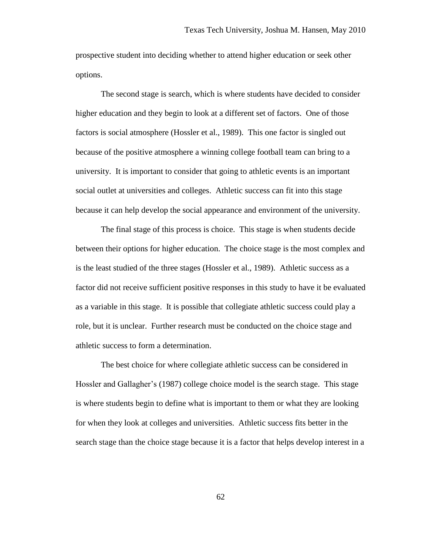prospective student into deciding whether to attend higher education or seek other options.

The second stage is search, which is where students have decided to consider higher education and they begin to look at a different set of factors. One of those factors is social atmosphere (Hossler et al., 1989). This one factor is singled out because of the positive atmosphere a winning college football team can bring to a university. It is important to consider that going to athletic events is an important social outlet at universities and colleges. Athletic success can fit into this stage because it can help develop the social appearance and environment of the university.

The final stage of this process is choice. This stage is when students decide between their options for higher education. The choice stage is the most complex and is the least studied of the three stages (Hossler et al., 1989). Athletic success as a factor did not receive sufficient positive responses in this study to have it be evaluated as a variable in this stage. It is possible that collegiate athletic success could play a role, but it is unclear. Further research must be conducted on the choice stage and athletic success to form a determination.

The best choice for where collegiate athletic success can be considered in Hossler and Gallagher's (1987) college choice model is the search stage. This stage is where students begin to define what is important to them or what they are looking for when they look at colleges and universities. Athletic success fits better in the search stage than the choice stage because it is a factor that helps develop interest in a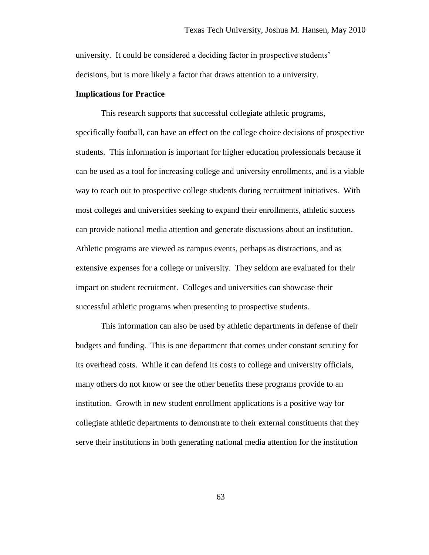university. It could be considered a deciding factor in prospective students' decisions, but is more likely a factor that draws attention to a university.

### **Implications for Practice**

This research supports that successful collegiate athletic programs, specifically football, can have an effect on the college choice decisions of prospective students. This information is important for higher education professionals because it can be used as a tool for increasing college and university enrollments, and is a viable way to reach out to prospective college students during recruitment initiatives. With most colleges and universities seeking to expand their enrollments, athletic success can provide national media attention and generate discussions about an institution. Athletic programs are viewed as campus events, perhaps as distractions, and as extensive expenses for a college or university. They seldom are evaluated for their impact on student recruitment. Colleges and universities can showcase their successful athletic programs when presenting to prospective students.

This information can also be used by athletic departments in defense of their budgets and funding. This is one department that comes under constant scrutiny for its overhead costs. While it can defend its costs to college and university officials, many others do not know or see the other benefits these programs provide to an institution. Growth in new student enrollment applications is a positive way for collegiate athletic departments to demonstrate to their external constituents that they serve their institutions in both generating national media attention for the institution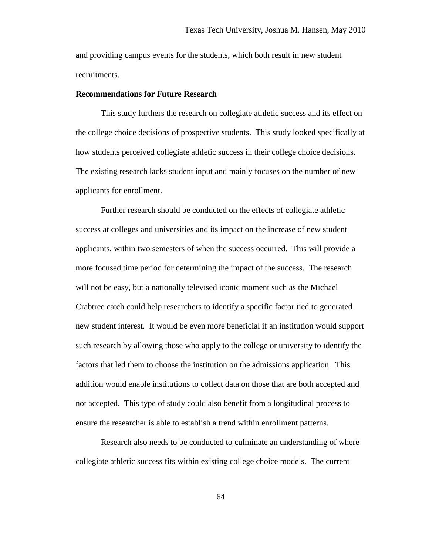and providing campus events for the students, which both result in new student recruitments.

### **Recommendations for Future Research**

This study furthers the research on collegiate athletic success and its effect on the college choice decisions of prospective students. This study looked specifically at how students perceived collegiate athletic success in their college choice decisions. The existing research lacks student input and mainly focuses on the number of new applicants for enrollment.

Further research should be conducted on the effects of collegiate athletic success at colleges and universities and its impact on the increase of new student applicants, within two semesters of when the success occurred. This will provide a more focused time period for determining the impact of the success. The research will not be easy, but a nationally televised iconic moment such as the Michael Crabtree catch could help researchers to identify a specific factor tied to generated new student interest. It would be even more beneficial if an institution would support such research by allowing those who apply to the college or university to identify the factors that led them to choose the institution on the admissions application. This addition would enable institutions to collect data on those that are both accepted and not accepted. This type of study could also benefit from a longitudinal process to ensure the researcher is able to establish a trend within enrollment patterns.

Research also needs to be conducted to culminate an understanding of where collegiate athletic success fits within existing college choice models. The current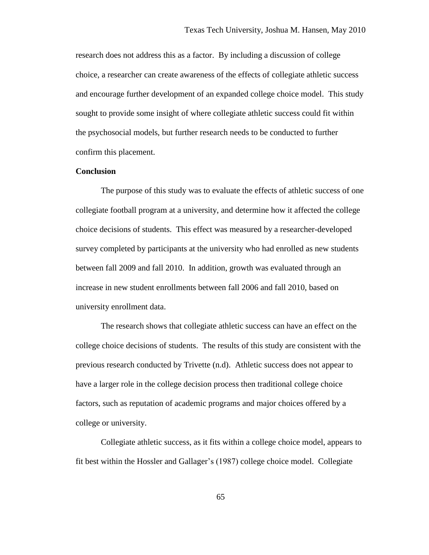research does not address this as a factor. By including a discussion of college choice, a researcher can create awareness of the effects of collegiate athletic success and encourage further development of an expanded college choice model. This study sought to provide some insight of where collegiate athletic success could fit within the psychosocial models, but further research needs to be conducted to further confirm this placement.

#### **Conclusion**

The purpose of this study was to evaluate the effects of athletic success of one collegiate football program at a university, and determine how it affected the college choice decisions of students. This effect was measured by a researcher-developed survey completed by participants at the university who had enrolled as new students between fall 2009 and fall 2010. In addition, growth was evaluated through an increase in new student enrollments between fall 2006 and fall 2010, based on university enrollment data.

The research shows that collegiate athletic success can have an effect on the college choice decisions of students. The results of this study are consistent with the previous research conducted by Trivette (n.d). Athletic success does not appear to have a larger role in the college decision process then traditional college choice factors, such as reputation of academic programs and major choices offered by a college or university.

Collegiate athletic success, as it fits within a college choice model, appears to fit best within the Hossler and Gallager's (1987) college choice model. Collegiate

65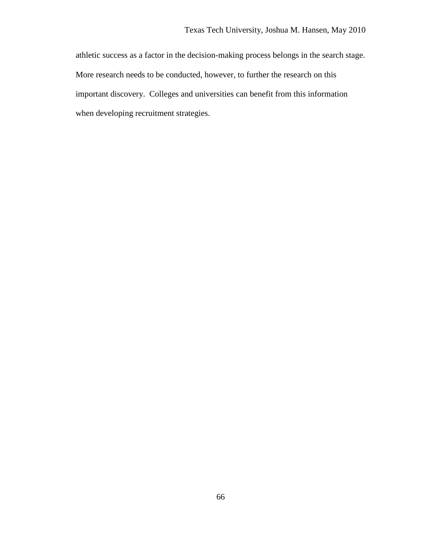athletic success as a factor in the decision-making process belongs in the search stage. More research needs to be conducted, however, to further the research on this important discovery. Colleges and universities can benefit from this information when developing recruitment strategies.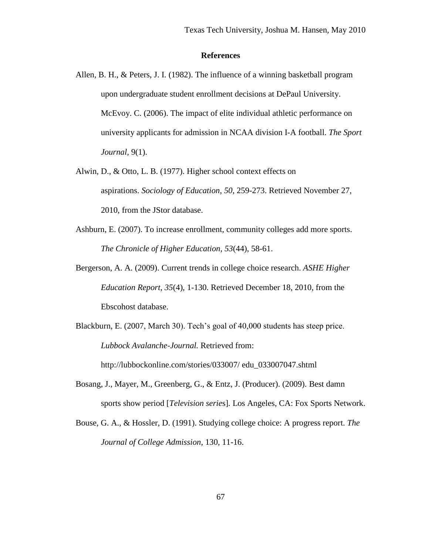#### **References**

- Allen, B. H., & Peters, J. I. (1982). The influence of a winning basketball program upon undergraduate student enrollment decisions at DePaul University. McEvoy. C. (2006). The impact of elite individual athletic performance on university applicants for admission in NCAA division I-A football. *The Sport Journal,* 9(1).
- Alwin, D., & Otto, L. B. (1977). Higher school context effects on aspirations. *Sociology of Education*, *50*, 259-273. Retrieved November 27, 2010, from the JStor database.
- Ashburn, E. (2007). To increase enrollment, community colleges add more sports. *The Chronicle of Higher Education, 53*(44), 58-61.
- Bergerson, A. A. (2009). Current trends in college choice research. *ASHE Higher Education Report*, *35*(4), 1-130. Retrieved December 18, 2010, from the Ebscohost database.
- Blackburn, E. (2007, March 30). Tech's goal of 40,000 students has steep price. *Lubbock Avalanche-Journal.* Retrieved from: http://lubbockonline.com/stories/033007/ edu\_033007047.shtml
- Bosang, J., Mayer, M., Greenberg, G., & Entz, J. (Producer). (2009). Best damn sports show period [*Television serie*s]*.* Los Angeles, CA: Fox Sports Network.
- Bouse, G. A., & Hossler, D. (1991). Studying college choice: A progress report. *The Journal of College Admission*, 130, 11-16.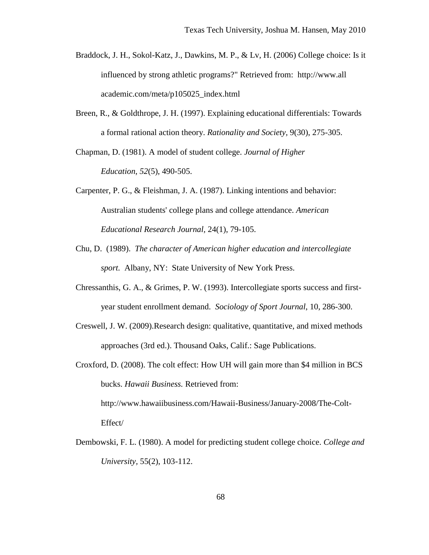- Braddock, J. H., Sokol-Katz, J., Dawkins, M. P., & Lv, H. (2006) College choice: Is it influenced by strong athletic programs?" Retrieved from: http://www.all academic.com/meta/p105025\_index.html
- Breen, R., & Goldthrope, J. H. (1997). Explaining educational differentials: Towards a formal rational action theory. *Rationality and Society,* 9(30), 275-305.

Chapman, D. (1981). A model of student college. *Journal of Higher Education*, *52*(5), 490-505.

- Carpenter, P. G., & Fleishman, J. A. (1987). Linking intentions and behavior: Australian students' college plans and college attendance. *American Educational Research Journal,* 24(1), 79-105.
- Chu, D. (1989). *The character of American higher education and intercollegiate sport.* Albany, NY: State University of New York Press.
- Chressanthis, G. A., & Grimes, P. W. (1993). Intercollegiate sports success and firstyear student enrollment demand. *Sociology of Sport Journal*, 10, 286-300.
- Creswell, J. W. (2009).Research design: qualitative, quantitative, and mixed methods approaches (3rd ed.). Thousand Oaks, Calif.: Sage Publications.
- Croxford, D. (2008). The colt effect: How UH will gain more than \$4 million in BCS bucks. *Hawaii Business.* Retrieved from:

http://www.hawaiibusiness.com/Hawaii-Business/January-2008/The-Colt-Effect/

Dembowski, F. L. (1980). A model for predicting student college choice. *College and University,* 55(2), 103-112.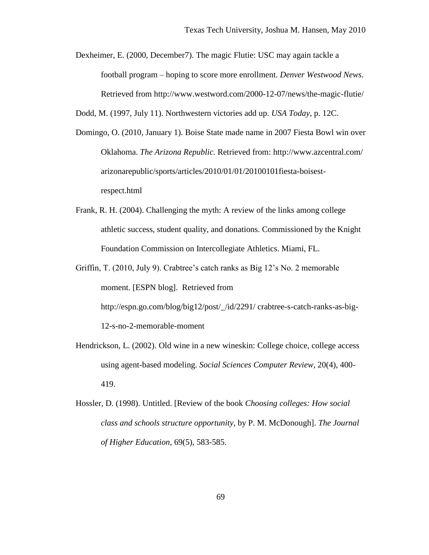Dexheimer, E. (2000, December7). The magic Flutie: USC may again tackle a football program – hoping to score more enrollment. *Denver Westwood News*. Retrieved from http://www.westword.com/2000-12-07/news/the-magic-flutie/

Dodd, M. (1997, July 11). Northwestern victories add up. *USA Today*, p. 12C.

- Domingo, O. (2010, January 1). Boise State made name in 2007 Fiesta Bowl win over Oklahoma. *The Arizona Republic.* Retrieved from: http://www.azcentral.com/ arizonarepublic/sports/articles/2010/01/01/20100101fiesta-boisestrespect.html
- Frank, R. H. (2004). Challenging the myth: A review of the links among college athletic success, student quality, and donations. Commissioned by the Knight Foundation Commission on Intercollegiate Athletics. Miami, FL.

Griffin, T. (2010, July 9). Crabtree's catch ranks as Big 12's No. 2 memorable moment. [ESPN blog]. Retrieved from http://espn.go.com/blog/big12/post/\_/id/2291/ crabtree-s-catch-ranks-as-big-12-s-no-2-memorable-moment

- Hendrickson, L. (2002). Old wine in a new wineskin: College choice, college access using agent-based modeling. *Social Sciences Computer Review,* 20(4), 400- 419.
- Hossler, D. (1998). Untitled. [Review of the book *Choosing colleges: How social class and schools structure opportunity*, by P. M. McDonough]. *The Journal of Higher Education*, 69(5), 583-585.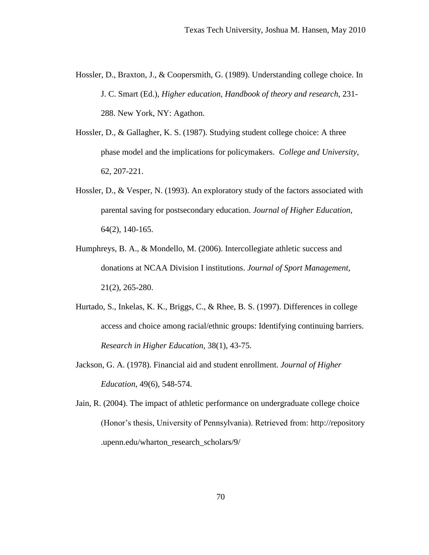- Hossler, D., Braxton, J., & Coopersmith, G. (1989). Understanding college choice. In J. C. Smart (Ed.), *Higher education, Handbook of theory and research,* 231- 288. New York, NY: Agathon.
- Hossler, D., & Gallagher, K. S. (1987). Studying student college choice: A three phase model and the implications for policymakers. *College and University*, 62, 207-221.
- Hossler, D., & Vesper, N. (1993). An exploratory study of the factors associated with parental saving for postsecondary education. *Journal of Higher Education,*  64(2), 140-165.
- Humphreys, B. A., & Mondello, M. (2006). Intercollegiate athletic success and donations at NCAA Division I institutions. *Journal of Sport Management,* 21(2), 265-280.
- Hurtado, S., Inkelas, K. K., Briggs, C., & Rhee, B. S. (1997). Differences in college access and choice among racial/ethnic groups: Identifying continuing barriers. *Research in Higher Education,* 38(1), 43-75.
- Jackson, G. A. (1978). Financial aid and student enrollment. *Journal of Higher Education*, 49(6), 548-574.
- Jain, R. (2004). The impact of athletic performance on undergraduate college choice (Honor's thesis, University of Pennsylvania). Retrieved from: http://repository .upenn.edu/wharton\_research\_scholars/9/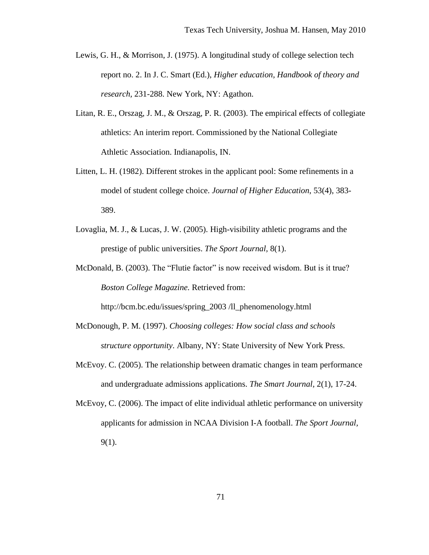- Lewis, G. H., & Morrison, J. (1975). A longitudinal study of college selection tech report no. 2. In J. C. Smart (Ed.), *Higher education, Handbook of theory and research,* 231-288. New York, NY: Agathon.
- Litan, R. E., Orszag, J. M., & Orszag, P. R. (2003). The empirical effects of collegiate athletics: An interim report. Commissioned by the National Collegiate Athletic Association. Indianapolis, IN.
- Litten, L. H. (1982). Different strokes in the applicant pool: Some refinements in a model of student college choice. *Journal of Higher Education*, 53(4), 383- 389.
- Lovaglia, M. J., & Lucas, J. W. (2005). High-visibility athletic programs and the prestige of public universities. *The Sport Journal,* 8(1).
- McDonald, B. (2003). The "Flutie factor" is now received wisdom. But is it true? *Boston College Magazine.* Retrieved from:

http://bcm.bc.edu/issues/spring\_2003 /ll\_phenomenology.html

- McDonough, P. M. (1997). *Choosing colleges: How social class and schools structure opportunity*. Albany, NY: State University of New York Press.
- McEvoy. C. (2005). The relationship between dramatic changes in team performance and undergraduate admissions applications. *The Smart Journal,* 2(1), 17-24.
- McEvoy, C. (2006). The impact of elite individual athletic performance on university applicants for admission in NCAA Division I-A football. *The Sport Journal,*  9(1).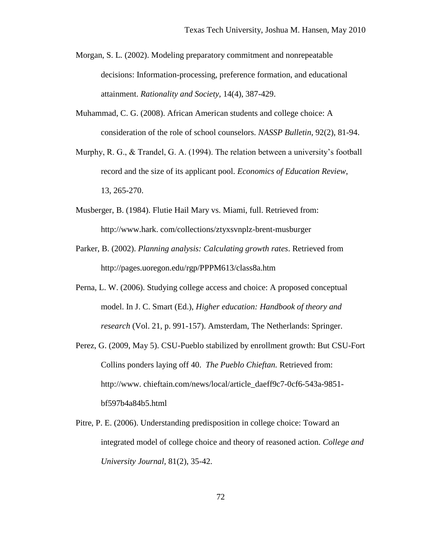- Morgan, S. L. (2002). Modeling preparatory commitment and nonrepeatable decisions: Information-processing, preference formation, and educational attainment. *Rationality and Society,* 14(4), 387-429.
- Muhammad, C. G. (2008). African American students and college choice: A consideration of the role of school counselors. *NASSP Bulletin*, 92(2), 81-94.
- Murphy, R. G., & Trandel, G. A. (1994). The relation between a university's football record and the size of its applicant pool. *Economics of Education Review*, 13, 265-270.
- Musberger, B. (1984). Flutie Hail Mary vs. Miami, full. Retrieved from: http://www.hark. com/collections/ztyxsvnplz-brent-musburger
- Parker, B. (2002). *Planning analysis: Calculating growth rates*. Retrieved from http://pages.uoregon.edu/rgp/PPPM613/class8a.htm
- Perna, L. W. (2006). Studying college access and choice: A proposed conceptual model. In J. C. Smart (Ed.), *Higher education: Handbook of theory and research* (Vol. 21, p. 991-157). Amsterdam, The Netherlands: Springer.
- Perez, G. (2009, May 5). CSU-Pueblo stabilized by enrollment growth: But CSU-Fort Collins ponders laying off 40. *The Pueblo Chieftan.* Retrieved from: http://www.chieftain.com/news/local/article\_daeff9c7-0cf6-543a-9851bf597b4a84b5.html
- Pitre, P. E. (2006). Understanding predisposition in college choice: Toward an integrated model of college choice and theory of reasoned action. *College and University Journal,* 81(2), 35-42.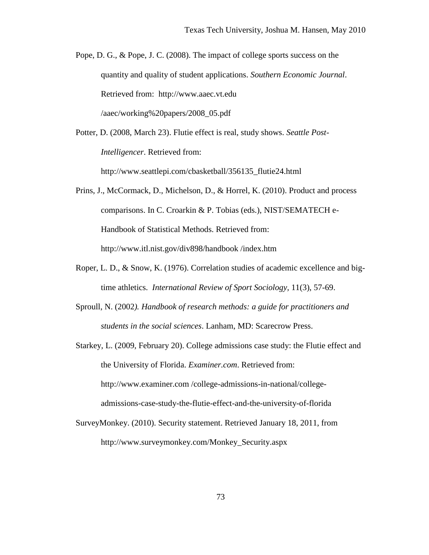Pope, D. G., & Pope, J. C. (2008). The impact of college sports success on the quantity and quality of student applications. *Southern Economic Journal*. Retrieved from: http://www.aaec.vt.edu /aaec/working%20papers/2008\_05.pdf

Potter, D. (2008, March 23). Flutie effect is real, study shows. *Seattle Post-Intelligencer*. Retrieved from: http://www.seattlepi.com/cbasketball/356135\_flutie24.html

- Prins, J., McCormack, D., Michelson, D., & Horrel, K. (2010). Product and process comparisons. In C. Croarkin & P. Tobias (eds.), NIST/SEMATECH e-Handbook of Statistical Methods. Retrieved from: http://www.itl.nist.gov/div898/handbook /index.htm
- Roper, L. D., & Snow, K. (1976). Correlation studies of academic excellence and bigtime athletics. *International Review of Sport Sociology,* 11(3), 57-69.
- Sproull, N. (2002*). Handbook of research methods: a guide for practitioners and students in the social sciences*. Lanham, MD: Scarecrow Press.

Starkey, L. (2009, February 20). College admissions case study: the Flutie effect and the University of Florida. *Examiner.com*. Retrieved from: http://www.examiner.com /college-admissions-in-national/collegeadmissions-case-study-the-flutie-effect-and-the-university-of-florida

SurveyMonkey. (2010). Security statement. Retrieved January 18, 2011, from http://www.surveymonkey.com/Monkey\_Security.aspx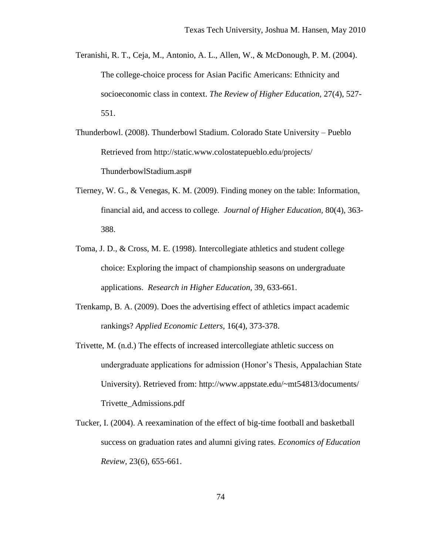- Teranishi, R. T., Ceja, M., Antonio, A. L., Allen, W., & McDonough, P. M. (2004). The college-choice process for Asian Pacific Americans: Ethnicity and socioeconomic class in context. *The Review of Higher Education,* 27(4), 527- 551.
- Thunderbowl. (2008). Thunderbowl Stadium. Colorado State University Pueblo Retrieved from http://static.www.colostatepueblo.edu/projects/ ThunderbowlStadium.asp#
- Tierney, W. G., & Venegas, K. M. (2009). Finding money on the table: Information, financial aid, and access to college. *Journal of Higher Education,* 80(4), 363- 388.
- Toma, J. D., & Cross, M. E. (1998). Intercollegiate athletics and student college choice: Exploring the impact of championship seasons on undergraduate applications. *Research in Higher Education*, 39, 633-661.
- Trenkamp, B. A. (2009). Does the advertising effect of athletics impact academic rankings? *Applied Economic Letters,* 16(4), 373-378.
- Trivette, M. (n.d.) The effects of increased intercollegiate athletic success on undergraduate applications for admission (Honor's Thesis, Appalachian State University). Retrieved from: http://www.appstate.edu/~mt54813/documents/ Trivette\_Admissions.pdf
- Tucker, I. (2004). A reexamination of the effect of big-time football and basketball success on graduation rates and alumni giving rates. *Economics of Education Review,* 23(6), 655-661.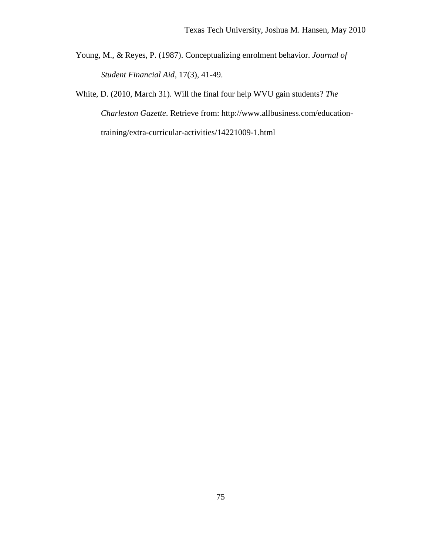Young, M., & Reyes, P. (1987). Conceptualizing enrolment behavior. *Journal of Student Financial Aid,* 17(3), 41-49.

White, D. (2010, March 31). Will the final four help WVU gain students? *The Charleston Gazette*. Retrieve from: http://www.allbusiness.com/educationtraining/extra-curricular-activities/14221009-1.html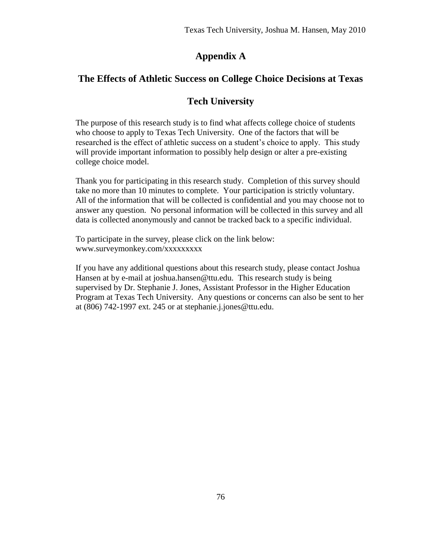# **Appendix A**

# **The Effects of Athletic Success on College Choice Decisions at Texas**

# **Tech University**

The purpose of this research study is to find what affects college choice of students who choose to apply to Texas Tech University. One of the factors that will be researched is the effect of athletic success on a student's choice to apply. This study will provide important information to possibly help design or alter a pre-existing college choice model.

Thank you for participating in this research study. Completion of this survey should take no more than 10 minutes to complete. Your participation is strictly voluntary. All of the information that will be collected is confidential and you may choose not to answer any question. No personal information will be collected in this survey and all data is collected anonymously and cannot be tracked back to a specific individual.

To participate in the survey, please click on the link below: www.surveymonkey.com/xxxxxxxxx

If you have any additional questions about this research study, please contact Joshua Hansen at by e-mail at joshua.hansen@ttu.edu. This research study is being supervised by Dr. Stephanie J. Jones, Assistant Professor in the Higher Education Program at Texas Tech University. Any questions or concerns can also be sent to her at (806) 742-1997 ext. 245 or at stephanie.j.jones@ttu.edu.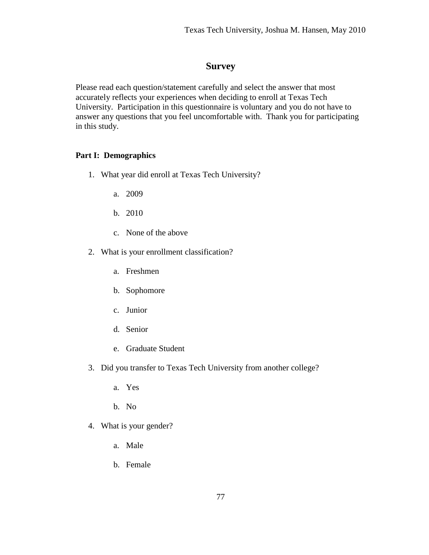## **Survey**

Please read each question/statement carefully and select the answer that most accurately reflects your experiences when deciding to enroll at Texas Tech University. Participation in this questionnaire is voluntary and you do not have to answer any questions that you feel uncomfortable with. Thank you for participating in this study.

### **Part I: Demographics**

- 1. What year did enroll at Texas Tech University?
	- a. 2009
	- b. 2010
	- c. None of the above
- 2. What is your enrollment classification?
	- a. Freshmen
	- b. Sophomore
	- c. Junior
	- d. Senior
	- e. Graduate Student
- 3. Did you transfer to Texas Tech University from another college?
	- a. Yes
	- b. No
- 4. What is your gender?
	- a. Male
	- b. Female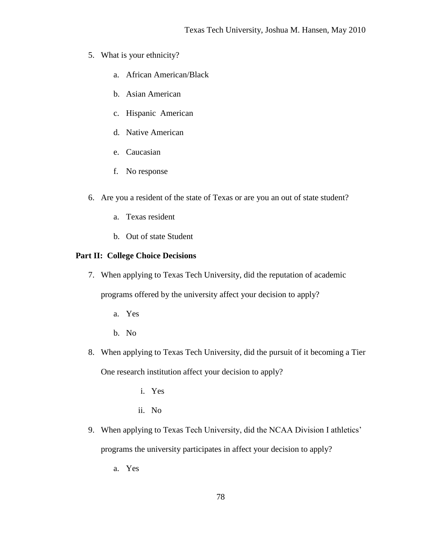- 5. What is your ethnicity?
	- a. African American/Black
	- b. Asian American
	- c. Hispanic American
	- d. Native American
	- e. Caucasian
	- f. No response
- 6. Are you a resident of the state of Texas or are you an out of state student?
	- a. Texas resident
	- b. Out of state Student

### **Part II: College Choice Decisions**

- 7. When applying to Texas Tech University, did the reputation of academic programs offered by the university affect your decision to apply?
	- a. Yes
	- b. No
- 8. When applying to Texas Tech University, did the pursuit of it becoming a Tier One research institution affect your decision to apply?
	- i. Yes
	- ii. No
- 9. When applying to Texas Tech University, did the NCAA Division I athletics' programs the university participates in affect your decision to apply?
	- a. Yes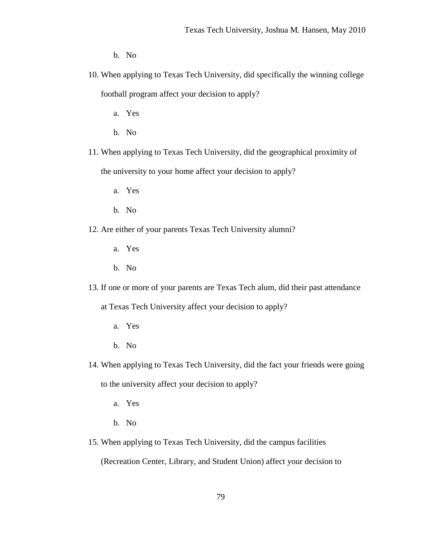b. No

- 10. When applying to Texas Tech University, did specifically the winning college football program affect your decision to apply?
	- a. Yes
	- b. No
- 11. When applying to Texas Tech University, did the geographical proximity of the university to your home affect your decision to apply?
	- a. Yes
	- b. No
- 12. Are either of your parents Texas Tech University alumni?
	- a. Yes
	- b. No
- 13. If one or more of your parents are Texas Tech alum, did their past attendance

at Texas Tech University affect your decision to apply?

- a. Yes
- b. No
- 14. When applying to Texas Tech University, did the fact your friends were going to the university affect your decision to apply?
	- a. Yes
	- b. No
- 15. When applying to Texas Tech University, did the campus facilities

(Recreation Center, Library, and Student Union) affect your decision to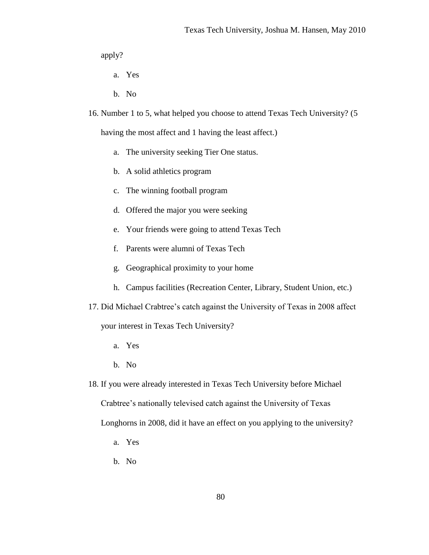apply?

- a. Yes
- b. No
- 16. Number 1 to 5, what helped you choose to attend Texas Tech University? (5

having the most affect and 1 having the least affect.)

- a. The university seeking Tier One status.
- b. A solid athletics program
- c. The winning football program
- d. Offered the major you were seeking
- e. Your friends were going to attend Texas Tech
- f. Parents were alumni of Texas Tech
- g. Geographical proximity to your home
- h. Campus facilities (Recreation Center, Library, Student Union, etc.)
- 17. Did Michael Crabtree's catch against the University of Texas in 2008 affect

your interest in Texas Tech University?

- a. Yes
- b. No
- 18. If you were already interested in Texas Tech University before Michael Crabtree's nationally televised catch against the University of Texas Longhorns in 2008, did it have an effect on you applying to the university?
	- a. Yes
	- b. No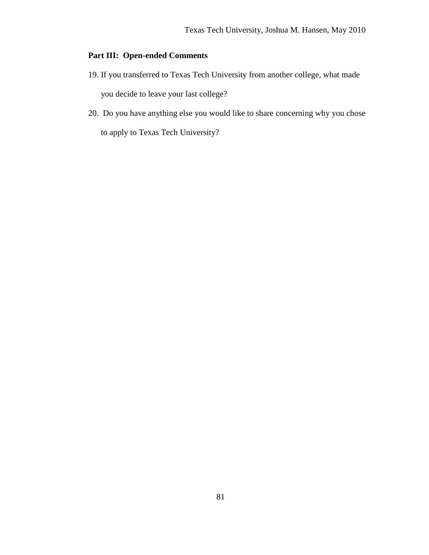## **Part III: Open-ended Comments**

- 19. If you transferred to Texas Tech University from another college, what made you decide to leave your last college?
- 20. Do you have anything else you would like to share concerning why you chose to apply to Texas Tech University?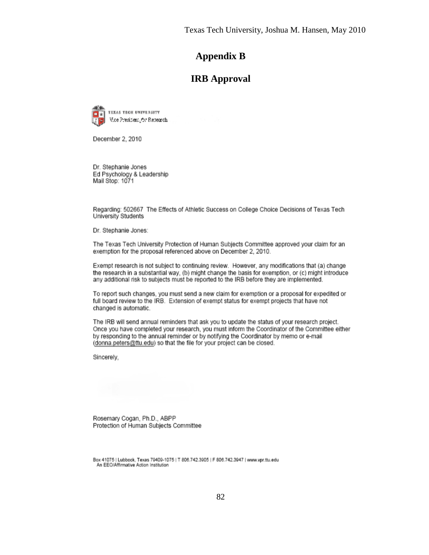### **Appendix B**

### **IRB Approval**



December 2, 2010

Dr. Stephanie Jones Ed Psychology & Leadership Mail Stop: 1071

Regarding: 502667 The Effects of Athletic Success on College Choice Decisions of Texas Tech University Students

Dr. Stephanie Jones:

The Texas Tech University Protection of Human Subjects Committee approved your claim for an exemption for the proposal referenced above on December 2, 2010.

Exempt research is not subject to continuing review. However, any modifications that (a) change the research in a substantial way, (b) might change the basis for exemption, or (c) might introduce any additional risk to subjects must be reported to the IRB before they are implemented.

To report such changes, you must send a new claim for exemption or a proposal for expedited or full board review to the IRB. Extension of exempt status for exempt projects that have not changed is automatic.

The IRB will send annual reminders that ask you to update the status of your research project. Once you have completed your research, you must inform the Coordinator of the Committee either by responding to the annual reminder or by notifying the Coordinator by memo or e-mail (donna peters@ttu.edu) so that the file for your project can be closed.

Sincerely,

Rosemary Cogan, Ph.D., ABPP Protection of Human Subjects Committee

Box 41075 | Lubbock, Texas 79409-1075 | T 806.742.3905 | F 806.742.3947 | www.vpr.ttu.edu An EEO/Affirmative Action Institution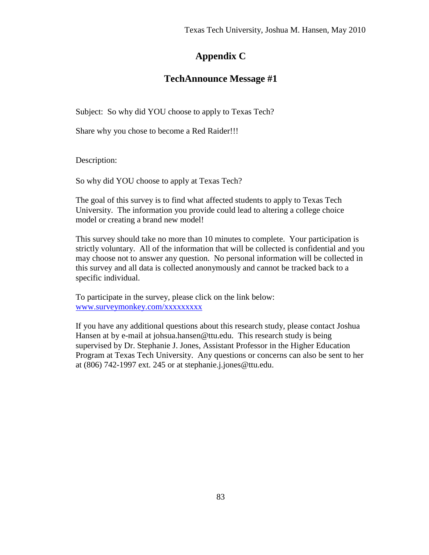# **Appendix C**

# **TechAnnounce Message #1**

Subject: So why did YOU choose to apply to Texas Tech?

Share why you chose to become a Red Raider!!!

Description:

So why did YOU choose to apply at Texas Tech?

The goal of this survey is to find what affected students to apply to Texas Tech University. The information you provide could lead to altering a college choice model or creating a brand new model!

This survey should take no more than 10 minutes to complete. Your participation is strictly voluntary. All of the information that will be collected is confidential and you may choose not to answer any question. No personal information will be collected in this survey and all data is collected anonymously and cannot be tracked back to a specific individual.

To participate in the survey, please click on the link below: [www.surveymonkey.com/xxxxxxxxx](http://www.surveymonkey.com/xxxxxxxxx)

If you have any additional questions about this research study, please contact Joshua Hansen at by e-mail at johsua.hansen@ttu.edu. This research study is being supervised by Dr. Stephanie J. Jones, Assistant Professor in the Higher Education Program at Texas Tech University. Any questions or concerns can also be sent to her at (806) 742-1997 ext. 245 or at stephanie.j.jones@ttu.edu.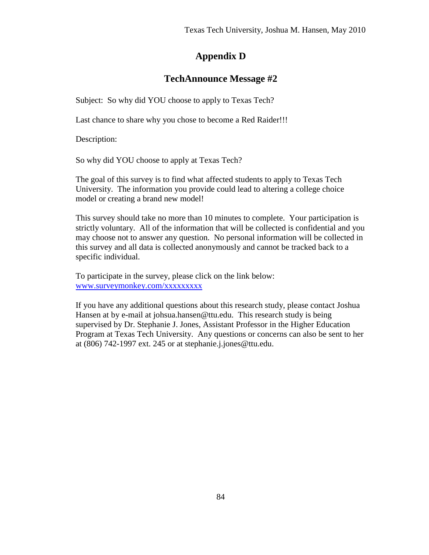# **Appendix D**

## **TechAnnounce Message #2**

Subject: So why did YOU choose to apply to Texas Tech?

Last chance to share why you chose to become a Red Raider!!!

Description:

So why did YOU choose to apply at Texas Tech?

The goal of this survey is to find what affected students to apply to Texas Tech University. The information you provide could lead to altering a college choice model or creating a brand new model!

This survey should take no more than 10 minutes to complete. Your participation is strictly voluntary. All of the information that will be collected is confidential and you may choose not to answer any question. No personal information will be collected in this survey and all data is collected anonymously and cannot be tracked back to a specific individual.

To participate in the survey, please click on the link below: [www.surveymonkey.com/xxxxxxxxx](http://www.surveymonkey.com/xxxxxxxxx)

If you have any additional questions about this research study, please contact Joshua Hansen at by e-mail at johsua.hansen@ttu.edu. This research study is being supervised by Dr. Stephanie J. Jones, Assistant Professor in the Higher Education Program at Texas Tech University. Any questions or concerns can also be sent to her at  $(806)$  742-1997 ext. 245 or at stephanie.j.jones@ttu.edu.